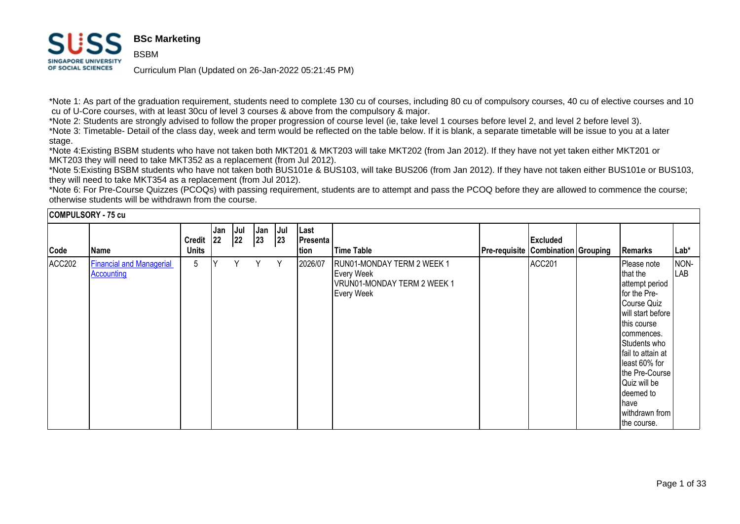#### **BSc Marketing** HQ **BSBM SINGAPORE UNIVERSITY** OF SOCIAL SCIENCES

**COMPULSORY 75** 

Curriculum Plan (Updated on 26-Jan-2022 05:21:45 PM)

\*Note 1: As part of the graduation requirement, students need to complete 130 cu of courses, including 80 cu of compulsory courses, 40 cu of elective courses and 10 cu of U-Core courses, with at least 30cu of level 3 courses & above from the compulsory & major.

\*Note 2: Students are strongly advised to follow the proper progression of course level (ie, take level 1 courses before level 2, and level 2 before level 3).

\*Note 3: Timetable- Detail of the class day, week and term would be reflected on the table below. If it is blank, a separate timetable will be issue to you at a later stage.

\*Note 4:Existing BSBM students who have not taken both MKT201 & MKT203 will take MKT202 (from Jan 2012). If they have not yet taken either MKT201 or MKT203 they will need to take MKT352 as a replacement (from Jul 2012).

\*Note 5:Existing BSBM students who have not taken both BUS101e & BUS103, will take BUS206 (from Jan 2012). If they have not taken either BUS101e or BUS103, they will need to take MKT354 as a replacement (from Jul 2012).

\*Note 6: For Pre-Course Quizzes (PCOQs) with passing requirement, students are to attempt and pass the PCOQ before they are allowed to commence the course; otherwise students will be withdrawn from the course.

| <b>COMPULSORY - 75 CU</b> |                                               |                               |            |           |                     |            |                          |                                                                                                     |                                           |          |                                                                                                                                                                                                                                                                                     |             |
|---------------------------|-----------------------------------------------|-------------------------------|------------|-----------|---------------------|------------|--------------------------|-----------------------------------------------------------------------------------------------------|-------------------------------------------|----------|-------------------------------------------------------------------------------------------------------------------------------------------------------------------------------------------------------------------------------------------------------------------------------------|-------------|
| Code                      | Name                                          | <b>Credit</b><br><b>Units</b> | Jan<br> 22 | Jul<br>22 | Jan<br>$ 23\rangle$ | Jul<br> 23 | Last<br>Presenta<br>tion | <b>Time Table</b>                                                                                   | <b>Pre-requisite Combination Grouping</b> | Excluded | Remarks                                                                                                                                                                                                                                                                             | Lab*        |
| ACC202                    | <b>Financial and Managerial</b><br>Accounting | 5                             | lΥ         | Y         | Y.                  | Y          | 2026/07                  | RUN01-MONDAY TERM 2 WEEK 1<br><b>Every Week</b><br>VRUN01-MONDAY TERM 2 WEEK 1<br><b>Every Week</b> |                                           | ACC201   | Please note<br>that the<br>attempt period<br>for the Pre-<br>Course Quiz<br>will start before<br>this course<br>commences.<br>Students who<br>fail to attain at<br>least 60% for<br>the Pre-Course  <br>Quiz will be<br>deemed to<br><b>I</b> have<br>withdrawn from<br>the course. | NON-<br>LAB |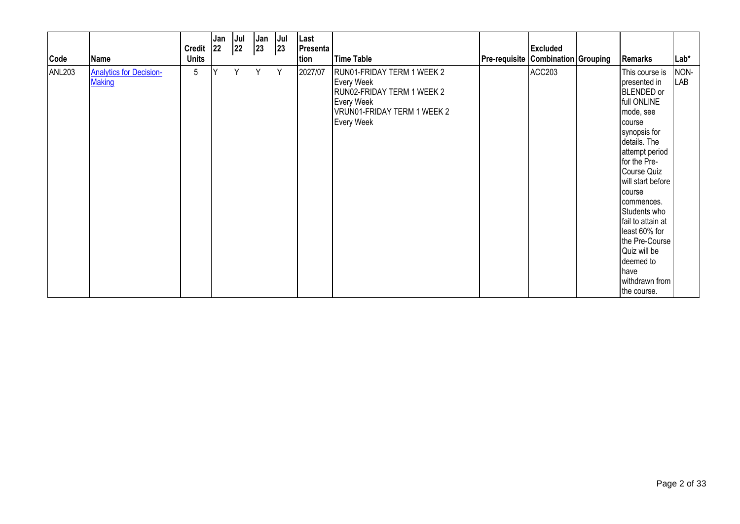| Code          | Name                                            | Credit 22<br><b>Units</b> | Jan | Jul<br>22 | Jan<br>$ 23\rangle$ | $ $ Jul<br> 23 | Last<br>Presenta<br>tion | Time Table                                                                                                                        | <b>Pre-requisite Combination Grouping</b> | <b>Excluded</b> | Remarks                                                                                                                                                                                                                                                                                                                                                                                  | Lab*        |
|---------------|-------------------------------------------------|---------------------------|-----|-----------|---------------------|----------------|--------------------------|-----------------------------------------------------------------------------------------------------------------------------------|-------------------------------------------|-----------------|------------------------------------------------------------------------------------------------------------------------------------------------------------------------------------------------------------------------------------------------------------------------------------------------------------------------------------------------------------------------------------------|-------------|
| <b>ANL203</b> | <b>Analytics for Decision-</b><br><b>Making</b> | 5                         | Y   | Y         | Y                   | Y              | 2027/07                  | RUN01-FRIDAY TERM 1 WEEK 2<br>Every Week<br>RUN02-FRIDAY TERM 1 WEEK 2<br>Every Week<br>VRUN01-FRIDAY TERM 1 WEEK 2<br>Every Week |                                           | <b>ACC203</b>   | This course is<br>presented in<br><b>BLENDED</b> or<br>full ONLINE<br>mode, see<br><b>I</b> course<br>synopsis for<br>details. The<br>attempt period<br>for the Pre-<br>Course Quiz<br>will start before<br>Icourse<br>commences.<br>Students who<br>fail to attain at<br>least 60% for<br>the Pre-Course<br>Quiz will be<br>deemed to<br><b>I</b> have<br>withdrawn from<br>the course. | NON-<br>LAB |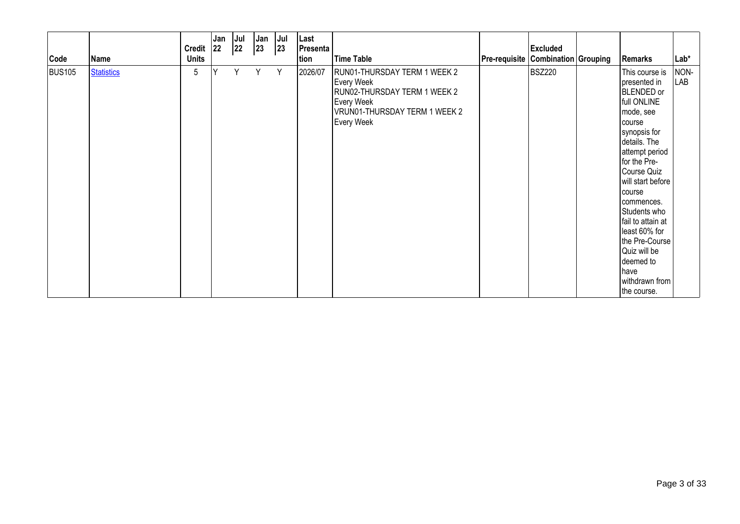| Code          | Name              | Credit 22<br><b>Units</b> | Jan | Jul<br>22 | Jan<br>$ 23\rangle$ | Jul<br> 23 | Last<br>Presenta<br>tion | Time Table                                                                                                                                     | Pre-requisite Combination Grouping | <b>Excluded</b> | Remarks                                                                                                                                                                                                                                                                                                                                                                                 | $Lab*$      |
|---------------|-------------------|---------------------------|-----|-----------|---------------------|------------|--------------------------|------------------------------------------------------------------------------------------------------------------------------------------------|------------------------------------|-----------------|-----------------------------------------------------------------------------------------------------------------------------------------------------------------------------------------------------------------------------------------------------------------------------------------------------------------------------------------------------------------------------------------|-------------|
| <b>BUS105</b> | <b>Statistics</b> | 5                         | Y   | Υ         | Y                   | Y          | 2026/07                  | RUN01-THURSDAY TERM 1 WEEK 2<br>Every Week<br>RUN02-THURSDAY TERM 1 WEEK 2<br>Every Week<br>VRUN01-THURSDAY TERM 1 WEEK 2<br><b>Every Week</b> |                                    | <b>BSZ220</b>   | This course is<br>presented in<br><b>BLENDED</b> or<br>full ONLINE<br>mode, see<br><b>I</b> course<br>synopsis for<br>details. The<br>attempt period<br>for the Pre-<br>Course Quiz<br>will start before<br><b>I</b> course<br>commences.<br>Students who<br>fail to attain at<br>least 60% for<br>the Pre-Course<br>Quiz will be<br>deemed to<br>have<br>withdrawn from<br>the course. | NON-<br>LAB |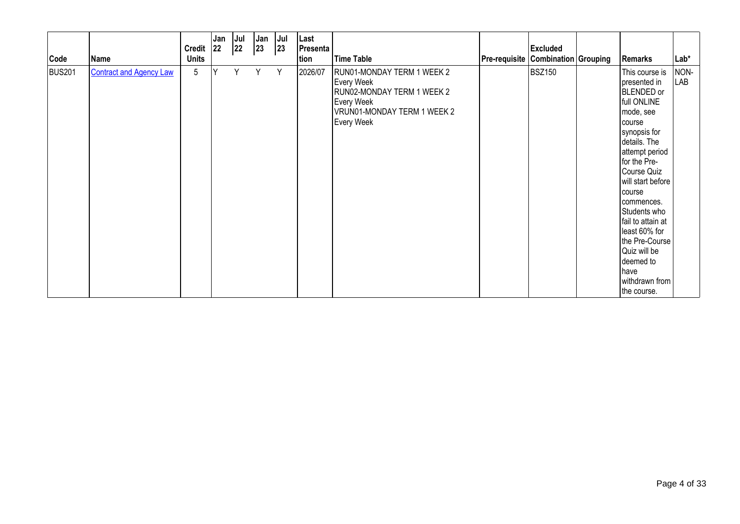| Code          | Name                           | Credit 22<br><b>Units</b> | Jan | Jul<br>22 | Jan<br>23 | Jul<br> 23 | Last<br>Presenta<br>tion | <b>Time Table</b>                                                                                                                 | <b>Pre-requisite Combination Grouping</b> | <b>Excluded</b> | Remarks                                                                                                                                                                                                                                                                                                                                                                           | Lab*        |
|---------------|--------------------------------|---------------------------|-----|-----------|-----------|------------|--------------------------|-----------------------------------------------------------------------------------------------------------------------------------|-------------------------------------------|-----------------|-----------------------------------------------------------------------------------------------------------------------------------------------------------------------------------------------------------------------------------------------------------------------------------------------------------------------------------------------------------------------------------|-------------|
| <b>BUS201</b> | <b>Contract and Agency Law</b> | 5                         | Y   | Y         | Y         | Y          | 2026/07                  | RUN01-MONDAY TERM 1 WEEK 2<br>Every Week<br>RUN02-MONDAY TERM 1 WEEK 2<br>Every Week<br>VRUN01-MONDAY TERM 1 WEEK 2<br>Every Week |                                           | <b>BSZ150</b>   | This course is<br>presented in<br>BLENDED or<br>full ONLINE<br>mode, see<br><b>I</b> course<br>synopsis for<br>details. The<br>attempt period<br>for the Pre-<br>Course Quiz<br>will start before<br>Icourse<br>commences.<br>Students who<br>fail to attain at<br>least 60% for<br>the Pre-Course<br>Quiz will be<br>deemed to<br><b>I</b> have<br>withdrawn from<br>the course. | NON-<br>LAB |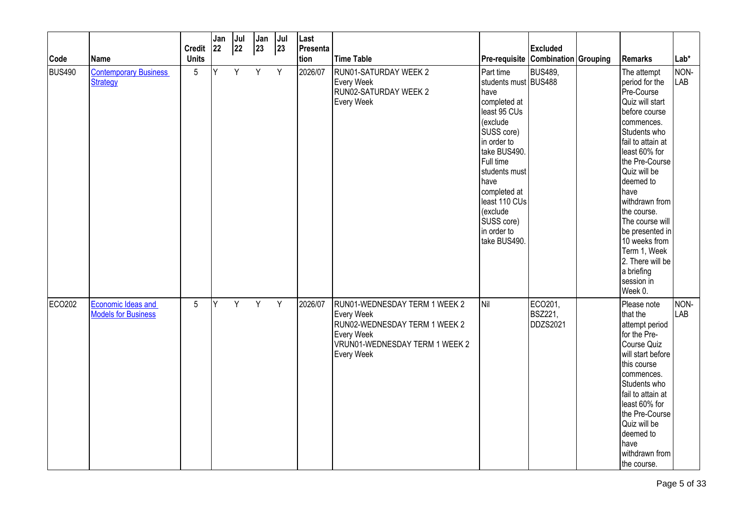|               |                                                  | <b>Credit</b>   | Jan<br>22 | Jul<br>22 | Jan<br>$ 23\rangle$ | Jul<br> 23 | Last<br>Presenta |                                                                                                                                                   |                                                                                                                                                                                                                                                                    | <b>Excluded</b>                       |                                                                                                                                                                                                                                                                                                                                                                               |                      |
|---------------|--------------------------------------------------|-----------------|-----------|-----------|---------------------|------------|------------------|---------------------------------------------------------------------------------------------------------------------------------------------------|--------------------------------------------------------------------------------------------------------------------------------------------------------------------------------------------------------------------------------------------------------------------|---------------------------------------|-------------------------------------------------------------------------------------------------------------------------------------------------------------------------------------------------------------------------------------------------------------------------------------------------------------------------------------------------------------------------------|----------------------|
| Code          | Name                                             | <b>Units</b>    |           |           |                     |            | tion             | Time Table                                                                                                                                        | Pre-requisite Combination Grouping                                                                                                                                                                                                                                 |                                       | Remarks                                                                                                                                                                                                                                                                                                                                                                       | Lab*                 |
| <b>BUS490</b> | <b>Contemporary Business</b><br><b>Strategy</b>  | $5\phantom{.0}$ | Y         | Y         | Y                   | Y          | 2026/07          | RUN01-SATURDAY WEEK 2<br><b>Every Week</b><br>RUN02-SATURDAY WEEK 2<br>Every Week                                                                 | Part time<br>students must BUS488<br>have<br>completed at<br>least 95 CUs<br>(exclude<br>SUSS core)<br>in order to<br>take BUS490.<br>Full time<br>students must<br>have<br>completed at<br>least 110 CUs<br>(exclude<br>SUSS core)<br>in order to<br>take BUS490. | <b>BUS489,</b>                        | The attempt<br>period for the<br>Pre-Course<br>Quiz will start<br>before course<br>commences.<br>Students who<br>fail to attain at<br>least 60% for<br>the Pre-Course<br>Quiz will be<br>deemed to<br>have<br>withdrawn from<br>the course.<br>The course will<br>be presented in<br>10 weeks from<br>Term 1, Week<br>2. There will be<br>a briefing<br>session in<br>Week 0. | NON-<br><b>LAB</b>   |
| ECO202        | Economic Ideas and<br><b>Models for Business</b> | $5\phantom{.0}$ | Y         | Y         | Y                   | Y          | 2026/07          | RUN01-WEDNESDAY TERM 1 WEEK 2<br><b>Every Week</b><br>RUN02-WEDNESDAY TERM 1 WEEK 2<br>Every Week<br>VRUN01-WEDNESDAY TERM 1 WEEK 2<br>Every Week | Nil                                                                                                                                                                                                                                                                | ECO201,<br><b>BSZ221,</b><br>DDZS2021 | Please note<br>that the<br>attempt period<br>for the Pre-<br>Course Quiz<br>will start before<br>this course<br>commences.<br>Students who<br>fail to attain at<br>least 60% for<br>the Pre-Course<br>Quiz will be<br>deemed to<br><b>have</b><br>withdrawn from<br>the course.                                                                                               | NON-<br><b>I</b> LAB |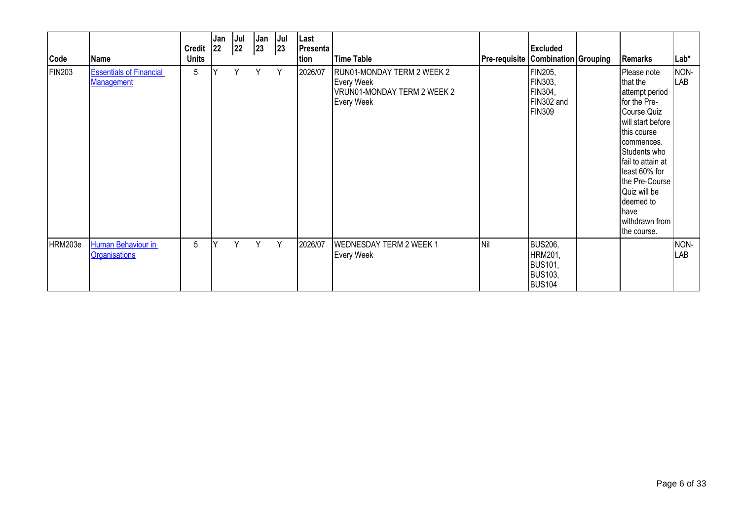| Code          | Name                                                | <b>Credit</b><br><b>Units</b> | Jan<br> 22 | Jul<br>22 | Jan<br>$ 23\rangle$ | Jul<br>23 | Last<br><b>Presenta</b><br>tion | <b>Time Table</b>                                                                     | <b>Pre-requisite Combination Grouping</b> | <b>Excluded</b>                                                                | Remarks                                                                                                                                                                                                                                                                  | Lab*        |
|---------------|-----------------------------------------------------|-------------------------------|------------|-----------|---------------------|-----------|---------------------------------|---------------------------------------------------------------------------------------|-------------------------------------------|--------------------------------------------------------------------------------|--------------------------------------------------------------------------------------------------------------------------------------------------------------------------------------------------------------------------------------------------------------------------|-------------|
| <b>FIN203</b> | <b>Essentials of Financial</b><br><b>Management</b> | 5                             |            | Y         | Y                   | Y         | 2026/07                         | RUN01-MONDAY TERM 2 WEEK 2<br>Every Week<br>VRUN01-MONDAY TERM 2 WEEK 2<br>Every Week |                                           | FIN205,<br>FIN303,<br>FIN304,<br>FIN302 and<br><b>FIN309</b>                   | Please note<br>that the<br>attempt period<br>for the Pre-<br>Course Quiz<br>will start before<br>this course<br>commences.<br>Students who<br>fail to attain at<br>least 60% for<br>the Pre-Course<br>Quiz will be<br>deemed to<br>have<br>withdrawn from<br>the course. | NON-<br>LAB |
| HRM203e       | Human Behaviour in<br><b>Organisations</b>          | 5                             | Y          | Υ         | Y                   | Y         | 2026/07                         | <b>WEDNESDAY TERM 2 WEEK 1</b><br><b>Every Week</b>                                   | İNil                                      | <b>BUS206,</b><br>HRM201,<br><b>BUS101,</b><br><b>BUS103,</b><br><b>BUS104</b> |                                                                                                                                                                                                                                                                          | NON-<br>LAB |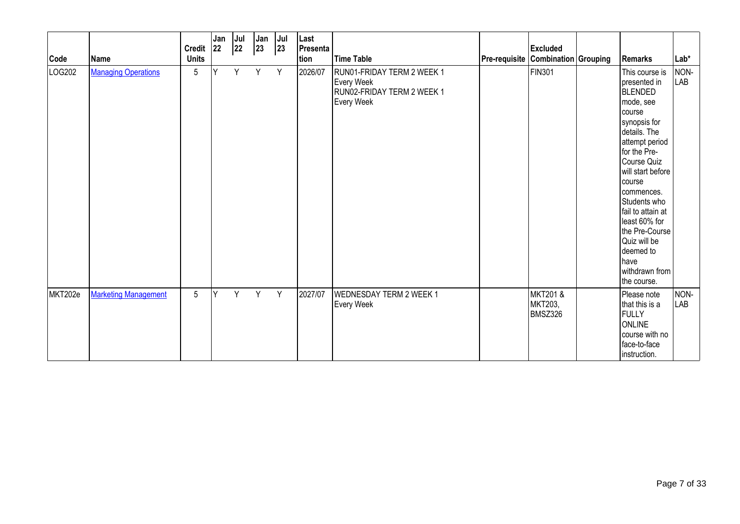| Code    | Name                        | Credit 22<br><b>Units</b> | Jan | Jul<br>22 | Jan<br> 23 | Jul<br>23 | Last<br>Presenta<br>tion | Time Table                                                                                  | <b>Pre-requisite Combination Grouping</b> | <b>Excluded</b>                | Remarks                                                                                                                                                                                                                                                                                                                                               | $Lab*$      |
|---------|-----------------------------|---------------------------|-----|-----------|------------|-----------|--------------------------|---------------------------------------------------------------------------------------------|-------------------------------------------|--------------------------------|-------------------------------------------------------------------------------------------------------------------------------------------------------------------------------------------------------------------------------------------------------------------------------------------------------------------------------------------------------|-------------|
| LOG202  | <b>Managing Operations</b>  | 5                         | Y   | Y         | Y          | Y         | 2026/07                  | RUN01-FRIDAY TERM 2 WEEK 1<br><b>Every Week</b><br>RUN02-FRIDAY TERM 2 WEEK 1<br>Every Week |                                           | <b>FIN301</b>                  | This course is<br>presented in<br>BLENDED<br>mode, see<br>course<br>synopsis for<br>details. The<br>attempt period<br>for the Pre-<br>Course Quiz<br>will start before<br>course<br>commences.<br>Students who<br>fail to attain at<br>least 60% for<br>the Pre-Course<br>Quiz will be<br>deemed to<br><b>I</b> have<br>withdrawn from<br>the course. | NON-<br>LAB |
| MKT202e | <b>Marketing Management</b> | 5                         | İΥ  | Y.        | Y          | Y         | 2027/07                  | <b>WEDNESDAY TERM 2 WEEK 1</b><br>Every Week                                                |                                           | MKT201 &<br>MKT203,<br>BMSZ326 | Please note<br>that this is a<br>FULLY<br><b>ONLINE</b><br>course with no<br>face-to-face<br>instruction.                                                                                                                                                                                                                                             | NON-<br>LAB |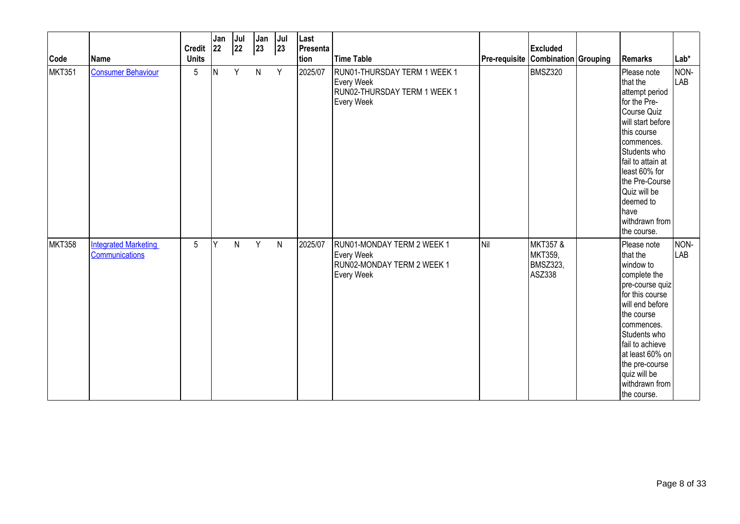| Code          | Name                                          | Credit $ 22 $<br><b>Units</b> | Jan | Jul<br>22 | Jan<br>$ 23\rangle$ | Jul<br>23    | Last<br>Presenta<br>tion | <b>Time Table</b>                                                                           | Pre-requisite Combination Grouping | <b>Excluded</b>                                             | Remarks                                                                                                                                                                                                                                                                           | $Lab*$             |
|---------------|-----------------------------------------------|-------------------------------|-----|-----------|---------------------|--------------|--------------------------|---------------------------------------------------------------------------------------------|------------------------------------|-------------------------------------------------------------|-----------------------------------------------------------------------------------------------------------------------------------------------------------------------------------------------------------------------------------------------------------------------------------|--------------------|
| <b>MKT351</b> | <b>Consumer Behaviour</b>                     | 5                             | N   | Y         | N                   | Y            | 2025/07                  | RUN01-THURSDAY TERM 1 WEEK 1<br>Every Week<br>RUN02-THURSDAY TERM 1 WEEK 1<br>Every Week    |                                    | <b>BMSZ320</b>                                              | Please note<br>that the<br>attempt period<br>for the Pre-<br>Course Quiz<br>will start before<br>this course<br>commences.<br>Students who<br>fail to attain at<br>least 60% for<br>the Pre-Course<br>Quiz will be<br>deemed to<br><b>I</b> have<br>withdrawn from<br>the course. | NON-<br>LAB        |
| <b>MKT358</b> | <b>Integrated Marketing</b><br>Communications | 5                             | Y   | N         | Y                   | $\mathsf{N}$ | 2025/07                  | RUN01-MONDAY TERM 2 WEEK 1<br><b>Every Week</b><br>RUN02-MONDAY TERM 2 WEEK 1<br>Every Week | Nil                                | <b>MKT357 &amp;</b><br>MKT359,<br><b>BMSZ323,</b><br>ASZ338 | Please note<br>that the<br>window to<br>complete the<br>pre-course quiz<br>for this course<br>will end before<br>the course<br>commences.<br>Students who<br>fail to achieve<br>at least 60% on<br>the pre-course<br>quiz will be<br>withdrawn from<br>the course.                | NON-<br><b>LAB</b> |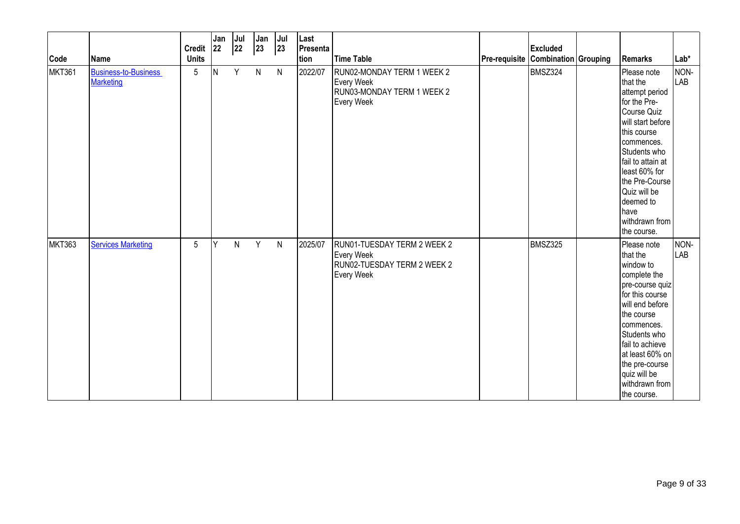| Code          | Name                                            | Credit $ 22 $<br><b>Units</b> | Jan | Jul<br>22 | Jan<br>$ 23\rangle$ | Jul<br>23    | Last<br>Presenta<br>tion | <b>Time Table</b>                                                                             | Pre-requisite Combination Grouping | <b>Excluded</b> | Remarks                                                                                                                                                                                                                                                                           | $Lab*$             |
|---------------|-------------------------------------------------|-------------------------------|-----|-----------|---------------------|--------------|--------------------------|-----------------------------------------------------------------------------------------------|------------------------------------|-----------------|-----------------------------------------------------------------------------------------------------------------------------------------------------------------------------------------------------------------------------------------------------------------------------------|--------------------|
| <b>MKT361</b> | <b>Business-to-Business</b><br><b>Marketing</b> | 5                             | N   | Y         | $\mathsf{N}$        | $\mathsf{N}$ | 2022/07                  | RUN02-MONDAY TERM 1 WEEK 2<br><b>Every Week</b><br>RUN03-MONDAY TERM 1 WEEK 2<br>Every Week   |                                    | BMSZ324         | Please note<br>that the<br>attempt period<br>for the Pre-<br>Course Quiz<br>will start before<br>this course<br>commences.<br>Students who<br>fail to attain at<br>least 60% for<br>the Pre-Course<br>Quiz will be<br>deemed to<br><b>I</b> have<br>withdrawn from<br>the course. | NON-<br>LAB        |
| <b>MKT363</b> | <b>Services Marketing</b>                       | 5                             | Y   | N         | Y                   | $\mathsf{N}$ | 2025/07                  | RUN01-TUESDAY TERM 2 WEEK 2<br><b>Every Week</b><br>RUN02-TUESDAY TERM 2 WEEK 2<br>Every Week |                                    | BMSZ325         | Please note<br>that the<br>window to<br>complete the<br>pre-course quiz<br>for this course<br>will end before<br>the course<br>commences.<br>Students who<br>fail to achieve<br>at least 60% on<br>the pre-course<br>quiz will be<br>withdrawn from<br>the course.                | NON-<br><b>LAB</b> |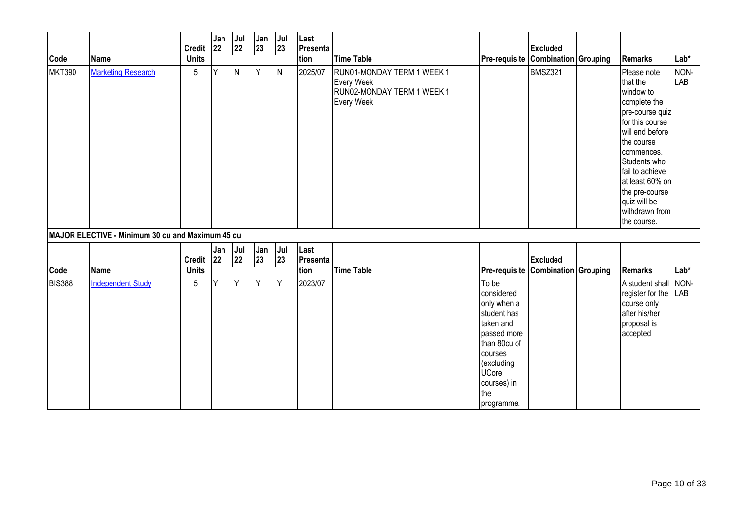| Code          | <b>Name</b>                                      | Credit $ 22 $<br><b>Units</b> | Jan | Jul<br>22 | Jan<br>$ 23\rangle$ | Jul<br> 23   | Last<br>Presenta<br>tion | <b>Time Table</b>                                                                           | Pre-requisite Combination Grouping                                                                                                                                         | <b>Excluded</b> | Remarks                                                                                                                                                                                                                                                            | $Lab*$      |
|---------------|--------------------------------------------------|-------------------------------|-----|-----------|---------------------|--------------|--------------------------|---------------------------------------------------------------------------------------------|----------------------------------------------------------------------------------------------------------------------------------------------------------------------------|-----------------|--------------------------------------------------------------------------------------------------------------------------------------------------------------------------------------------------------------------------------------------------------------------|-------------|
| <b>MKT390</b> | <b>Marketing Research</b>                        | 5                             | Y   | N         | Y                   | $\mathsf{N}$ | 2025/07                  | RUN01-MONDAY TERM 1 WEEK 1<br><b>Every Week</b><br>RUN02-MONDAY TERM 1 WEEK 1<br>Every Week |                                                                                                                                                                            | <b>BMSZ321</b>  | Please note<br>that the<br>window to<br>complete the<br>pre-course quiz<br>for this course<br>will end before<br>the course<br>commences.<br>Students who<br>fail to achieve<br>at least 60% on<br>the pre-course<br>quiz will be<br>withdrawn from<br>the course. | NON-<br>LAB |
|               | MAJOR ELECTIVE - Minimum 30 cu and Maximum 45 cu |                               |     |           |                     |              |                          |                                                                                             |                                                                                                                                                                            |                 |                                                                                                                                                                                                                                                                    |             |
| Code          | Name                                             | Credit $ 22 $<br><b>Units</b> | Jan | Jul<br>22 | Jan<br>$ 23\rangle$ | Jul<br>23    | Last<br>Presenta<br>tion | <b>Time Table</b>                                                                           | Pre-requisite Combination Grouping                                                                                                                                         | <b>Excluded</b> | Remarks                                                                                                                                                                                                                                                            | $Lab*$      |
| <b>BIS388</b> | <b>Independent Study</b>                         | 5                             | Y   | Y         | Y                   | Y            | 2023/07                  |                                                                                             | To be<br>considered<br>only when a<br>student has<br>taken and<br>passed more<br>than 80cu of<br>courses<br>(excluding<br><b>UCore</b><br>courses) in<br>the<br>programme. |                 | A student shall<br>register for the<br>course only<br>after his/her<br>proposal is<br>accepted                                                                                                                                                                     | NON-<br>LAB |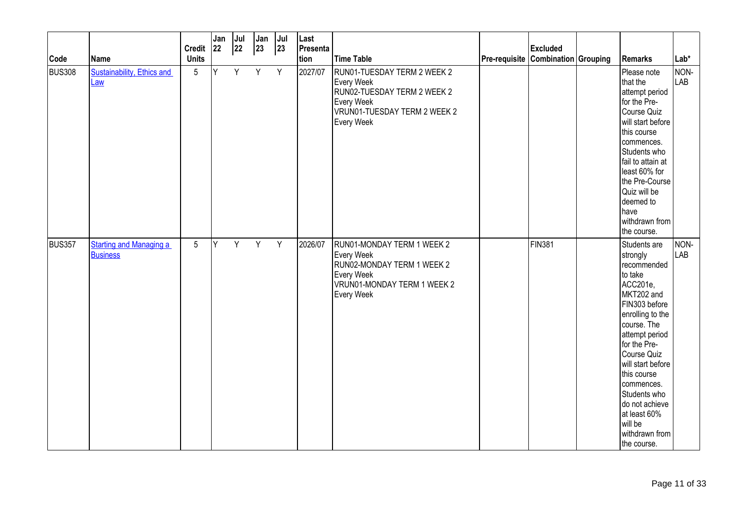|                       |                                                  | <b>Credit</b>     | Jan<br>22 | Jul<br>22 | Jan<br>$ 23\rangle$ | $ $ Jul<br> 23 | Last<br>Presenta | Time Table                                                                                                                                  |                                           | <b>Excluded</b> |                                                                                                                                                                                                                                                                                                                                   | $Lab*$      |
|-----------------------|--------------------------------------------------|-------------------|-----------|-----------|---------------------|----------------|------------------|---------------------------------------------------------------------------------------------------------------------------------------------|-------------------------------------------|-----------------|-----------------------------------------------------------------------------------------------------------------------------------------------------------------------------------------------------------------------------------------------------------------------------------------------------------------------------------|-------------|
| Code<br><b>BUS308</b> | Name<br><b>Sustainability, Ethics and</b><br>Law | <b>Units</b><br>5 | Y         | Y         | Y                   | Y              | tion<br>2027/07  | RUN01-TUESDAY TERM 2 WEEK 2<br>Every Week<br>RUN02-TUESDAY TERM 2 WEEK 2<br><b>Every Week</b><br>VRUN01-TUESDAY TERM 2 WEEK 2<br>Every Week | <b>Pre-requisite Combination Grouping</b> |                 | Remarks<br>Please note<br>that the<br>attempt period<br>for the Pre-<br>Course Quiz<br>will start before<br>this course<br>commences.<br>Students who<br>fail to attain at<br>least 60% for<br>the Pre-Course<br>Quiz will be<br>deemed to<br>have<br>withdrawn from<br>the course.                                               | NON-<br>LAB |
| BUS357                | <b>Starting and Managing a</b><br>Business       | $5\phantom{.0}$   | Y         | Y         | Y                   | Y              | 2026/07          | RUN01-MONDAY TERM 1 WEEK 2<br>Every Week<br>RUN02-MONDAY TERM 1 WEEK 2<br>Every Week<br>VRUN01-MONDAY TERM 1 WEEK 2<br>Every Week           |                                           | FIN381          | Students are<br>strongly<br>recommended<br>to take<br>ACC201e,<br>MKT202 and<br>FIN303 before<br>enrolling to the<br>course. The<br>attempt period<br>for the Pre-<br>Course Quiz<br>will start before<br>this course<br>commences.<br>Students who<br>do not achieve<br>at least 60%<br>will be<br>withdrawn from<br>the course. | NON-<br>LAB |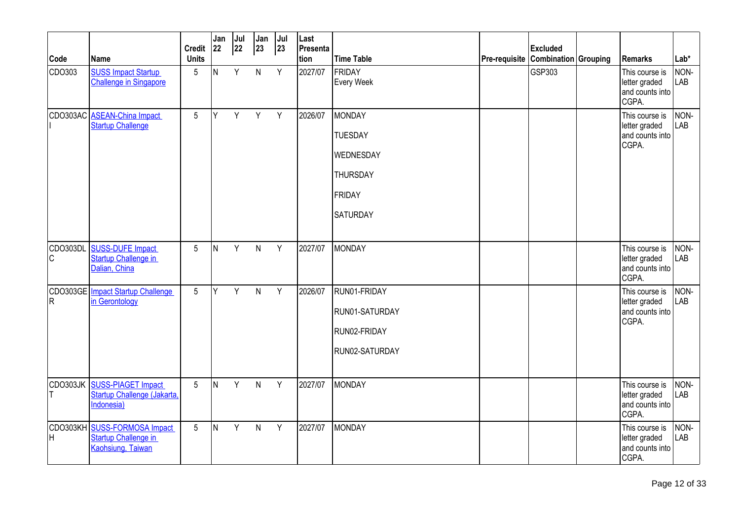| Code           | <b>Name</b>                                                                    | <b>Credit</b><br><b>Units</b> | Jan<br>22 | Jul<br> 22 | Jan<br>23    | Jul<br> 23 | Last<br>Presenta<br>tion | <b>Time Table</b>                                                                                   | Pre-requisite | <b>Excluded</b><br>Combination Grouping | Remarks                                                     | $Lab*$             |
|----------------|--------------------------------------------------------------------------------|-------------------------------|-----------|------------|--------------|------------|--------------------------|-----------------------------------------------------------------------------------------------------|---------------|-----------------------------------------|-------------------------------------------------------------|--------------------|
| CDO303         | <b>SUSS Impact Startup</b><br>Challenge in Singapore                           | 5                             | IN.       | Y          | $\mathsf{N}$ | Y          | 2027/07                  | <b>FRIDAY</b><br><b>Every Week</b>                                                                  |               | GSP303                                  | This course is<br>letter graded<br>and counts into<br>CGPA. | NON-<br>LAB        |
| CDO303AC       | <b>ASEAN-China Impact</b><br><b>Startup Challenge</b>                          | 5                             | lΥ        | Y          | Y            | Y          | 2026/07                  | <b>MONDAY</b><br><b>TUESDAY</b><br><b>WEDNESDAY</b><br><b>THURSDAY</b><br>FRIDAY<br><b>SATURDAY</b> |               |                                         | This course is<br>letter graded<br>and counts into<br>CGPA. | NON-<br>LAB        |
| lc             | CDO303DL SUSS-DUFE Impact<br><b>Startup Challenge in</b><br>Dalian, China      | $5\overline{)}$               | IN.       | Y          | N            | Y          | 2027/07                  | <b>MONDAY</b>                                                                                       |               |                                         | This course is<br>letter graded<br>and counts into<br>CGPA. | NON-<br>LAB        |
| lR.            | CDO303GE Impact Startup Challenge<br>in Gerontology                            | 5                             | ΙY        | Y          | $\mathsf{N}$ | Y          | 2026/07                  | RUN01-FRIDAY<br>RUN01-SATURDAY<br>RUN02-FRIDAY<br>RUN02-SATURDAY                                    |               |                                         | This course is<br>letter graded<br>and counts into<br>CGPA. | NON-<br>LAB        |
|                | CDO303JK SUSS-PIAGET Impact<br>Startup Challenge (Jakarta,<br>Indonesia)       | $5\overline{)}$               | IN.       | Y          | $\mathsf{N}$ | Y          | 2027/07                  | <b>MONDAY</b>                                                                                       |               |                                         | This course is<br>letter graded<br>and counts into<br>CGPA. | NON-<br>LAB        |
| CDO303KH<br>Iн | <b>SUSS-FORMOSA Impact</b><br><b>Startup Challenge in</b><br>Kaohsiung, Taiwan | $5\phantom{.0}$               | IN.       | Y          | $\mathsf{N}$ | Y          | 2027/07                  | <b>MONDAY</b>                                                                                       |               |                                         | This course is<br>letter graded<br>and counts into<br>CGPA. | NON-<br><b>LAB</b> |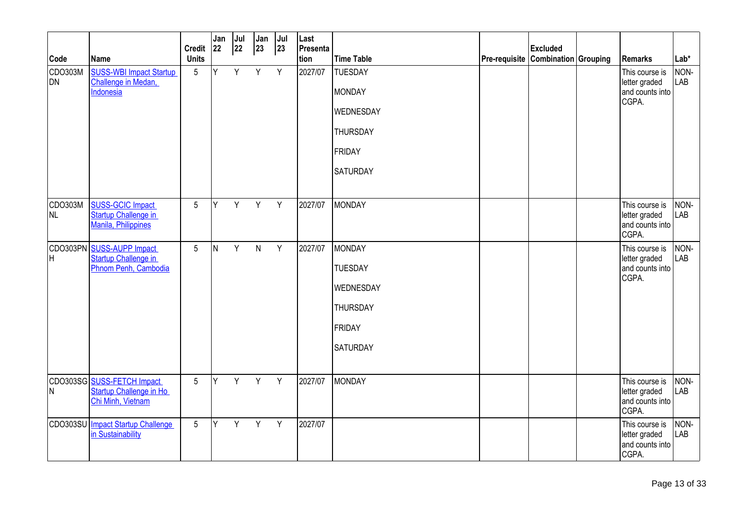|                |                                                                            | <b>Credit</b>   | Jan<br>22 | Jul<br>22 | Jan<br>23    | Jul<br> 23 | Last<br>Presenta |                   |                                    | <b>Excluded</b> |                                                             |                    |
|----------------|----------------------------------------------------------------------------|-----------------|-----------|-----------|--------------|------------|------------------|-------------------|------------------------------------|-----------------|-------------------------------------------------------------|--------------------|
| Code           | Name                                                                       | <b>Units</b>    |           |           |              |            | tion             | <b>Time Table</b> | Pre-requisite Combination Grouping |                 | <b>Remarks</b>                                              | $Lab*$             |
| CDO303M<br>DN. | <b>SUSS-WBI Impact Startup</b><br>Challenge in Medan,                      | 5               | Y         | Y         | Y            | Y          | 2027/07          | <b>TUESDAY</b>    |                                    |                 | This course is                                              | NON-<br>LAB        |
|                | Indonesia                                                                  |                 |           |           |              |            |                  | <b>MONDAY</b>     |                                    |                 | letter graded<br>and counts into<br>CGPA.                   |                    |
|                |                                                                            |                 |           |           |              |            |                  | WEDNESDAY         |                                    |                 |                                                             |                    |
|                |                                                                            |                 |           |           |              |            |                  | <b>THURSDAY</b>   |                                    |                 |                                                             |                    |
|                |                                                                            |                 |           |           |              |            |                  | <b>FRIDAY</b>     |                                    |                 |                                                             |                    |
|                |                                                                            |                 |           |           |              |            |                  | <b>SATURDAY</b>   |                                    |                 |                                                             |                    |
| CDO303M<br>NL. | <b>SUSS-GCIC Impact</b><br>Startup Challenge in<br>Manila, Philippines     | 5               | Y         | Y         | Y            | Y          | 2027/07          | <b>MONDAY</b>     |                                    |                 | This course is<br>letter graded<br>and counts into<br>CGPA. | NON-<br><b>LAB</b> |
|                | CDO303PN SUSS-AUPP Impact                                                  | 5               | IN.       | Y         | $\mathsf{N}$ | Y          | 2027/07          | <b>MONDAY</b>     |                                    |                 | This course is                                              | NON-               |
| lH             | Startup Challenge in<br>Phnom Penh, Cambodia                               |                 |           |           |              |            |                  | <b>TUESDAY</b>    |                                    |                 | letter graded<br>and counts into<br>CGPA.                   | <b>LAB</b>         |
|                |                                                                            |                 |           |           |              |            |                  | WEDNESDAY         |                                    |                 |                                                             |                    |
|                |                                                                            |                 |           |           |              |            |                  | <b>THURSDAY</b>   |                                    |                 |                                                             |                    |
|                |                                                                            |                 |           |           |              |            |                  | FRIDAY            |                                    |                 |                                                             |                    |
|                |                                                                            |                 |           |           |              |            |                  | <b>SATURDAY</b>   |                                    |                 |                                                             |                    |
| M              | CDO303SG SUSS-FETCH Impact<br>Startup Challenge in Ho<br>Chi Minh, Vietnam | 5               | Y         | Y         | Y            | Y          | 2027/07          | <b>MONDAY</b>     |                                    |                 | This course is<br>letter graded<br>and counts into<br>CGPA. | NON-<br>LAB        |
|                | CDO303SU Impact Startup Challenge<br>in Sustainability                     | $5\phantom{.0}$ | Y         | Y         | Y            | Y          | 2027/07          |                   |                                    |                 | This course is<br>letter graded<br>and counts into<br>CGPA. | NON-<br>LAB        |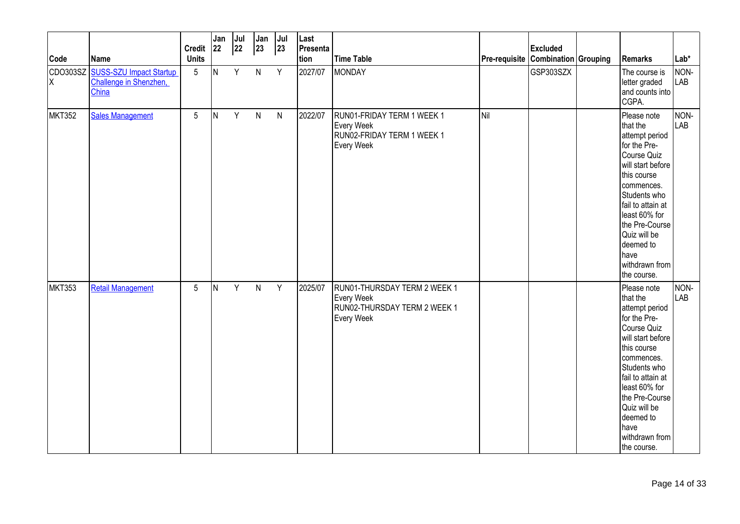| Code          | <b>Name</b>                                                         | Credit $ 22 $<br><b>Units</b> | Jan | Jul<br>22 | Jan<br>$ 23\rangle$ | Jul<br>23 | Last<br>Presenta<br>tion | <b>Time Table</b>                                                                               | Pre-requisite Combination Grouping | <b>Excluded</b> | <b>Remarks</b>                                                                                                                                                                                                                                                           | $Lab*$             |
|---------------|---------------------------------------------------------------------|-------------------------------|-----|-----------|---------------------|-----------|--------------------------|-------------------------------------------------------------------------------------------------|------------------------------------|-----------------|--------------------------------------------------------------------------------------------------------------------------------------------------------------------------------------------------------------------------------------------------------------------------|--------------------|
| ΙX            | CDO303SZ SUSS-SZU Impact Startup<br>Challenge in Shenzhen,<br>China | 5                             | IN. | Y         | $\mathsf{N}$        | Y         | 2027/07                  | <b>MONDAY</b>                                                                                   |                                    | GSP303SZX       | The course is<br>letter graded<br>and counts into<br>CGPA.                                                                                                                                                                                                               | NON-<br><b>LAB</b> |
| <b>MKT352</b> | <b>Sales Management</b>                                             | 5                             | IN. | Y         | $\mathsf{N}$        | N         | 2022/07                  | RUN01-FRIDAY TERM 1 WEEK 1<br><b>Every Week</b><br>RUN02-FRIDAY TERM 1 WEEK 1<br>Every Week     | Nil                                |                 | Please note<br>that the<br>attempt period<br>for the Pre-<br>Course Quiz<br>will start before<br>this course<br>commences.<br>Students who<br>fail to attain at<br>least 60% for<br>the Pre-Course<br>Quiz will be<br>deemed to<br>have<br>withdrawn from<br>the course. | NON-<br>LAB        |
| <b>MKT353</b> | <b>Retail Management</b>                                            | 5                             | IN. | Y         | $\mathsf{N}$        | Y         | 2025/07                  | RUN01-THURSDAY TERM 2 WEEK 1<br><b>Every Week</b><br>RUN02-THURSDAY TERM 2 WEEK 1<br>Every Week |                                    |                 | Please note<br>that the<br>attempt period<br>for the Pre-<br>Course Quiz<br>will start before<br>this course<br>commences.<br>Students who<br>fail to attain at<br>least 60% for<br>the Pre-Course<br>Quiz will be<br>deemed to<br>have<br>withdrawn from<br>the course. | NON-<br><b>LAB</b> |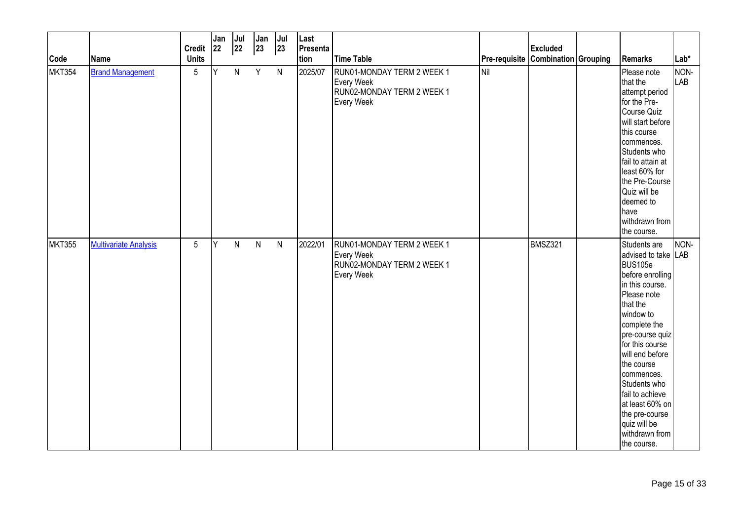| Code          | Name                         | <b>Credit</b><br><b>Units</b> | Jan<br>22 | Jul<br>22 | Jan<br>$ 23\rangle$ | $ $ Jul<br> 23 | Last<br>Presenta<br>tion | <b>Time Table</b>                                                                    | Pre-requisite Combination Grouping | <b>Excluded</b> | Remarks                                                                                                                                                                                                                                                                                                                                                     | $Lab*$      |
|---------------|------------------------------|-------------------------------|-----------|-----------|---------------------|----------------|--------------------------|--------------------------------------------------------------------------------------|------------------------------------|-----------------|-------------------------------------------------------------------------------------------------------------------------------------------------------------------------------------------------------------------------------------------------------------------------------------------------------------------------------------------------------------|-------------|
| MKT354        | <b>Brand Management</b>      | $\sqrt{5}$                    | Y         | N         | Y                   | $\mathsf{N}$   | 2025/07                  | RUN01-MONDAY TERM 2 WEEK 1<br>Every Week<br>RUN02-MONDAY TERM 2 WEEK 1<br>Every Week | <b>Nil</b>                         |                 | Please note<br>that the<br>attempt period<br>for the Pre-<br>Course Quiz<br>will start before<br>this course<br>commences.<br>Students who<br>fail to attain at<br>least 60% for<br>the Pre-Course<br>Quiz will be<br>deemed to<br>have<br>withdrawn from<br>the course.                                                                                    | NON-<br>LAB |
| <b>MKT355</b> | <b>Multivariate Analysis</b> | 5                             | Y         | N         | $\mathsf{N}$        | $\mathsf{N}$   | 2022/01                  | RUN01-MONDAY TERM 2 WEEK 1<br>Every Week<br>RUN02-MONDAY TERM 2 WEEK 1<br>Every Week |                                    | BMSZ321         | Students are<br>advised to take LAB<br>BUS105e<br>before enrolling<br>in this course.<br>Please note<br>that the<br>window to<br>complete the<br>pre-course quiz<br>for this course<br>will end before<br>the course<br>commences.<br>Students who<br>fail to achieve<br>at least 60% on<br>the pre-course<br>quiz will be<br>withdrawn from<br>the course. | NON-        |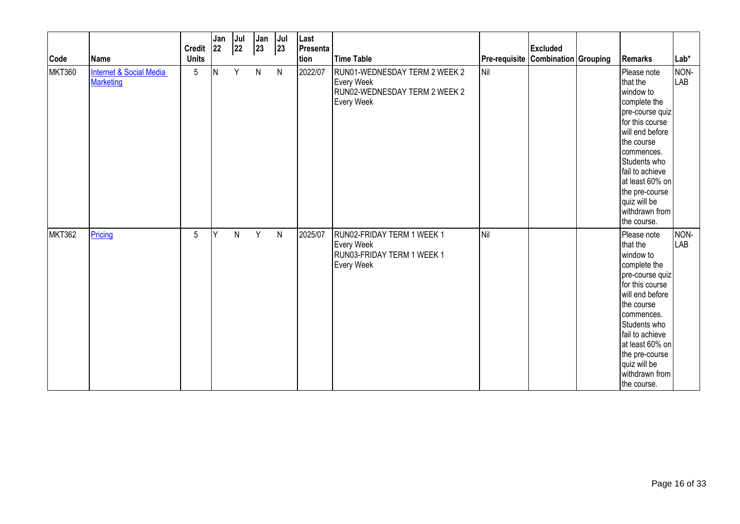| Code          | <b>Name</b>                                     | <b>Credit</b><br><b>Units</b> | Jan<br>22 | Jul<br>22 | Jan<br>23    | Jul<br>23    | Last<br>Presenta<br>tion | <b>Time Table</b>                                                                                        | <b>Pre-requisite Combination Grouping</b> | <b>Excluded</b> | Remarks                                                                                                                                                                                                                                                            | Lab*        |
|---------------|-------------------------------------------------|-------------------------------|-----------|-----------|--------------|--------------|--------------------------|----------------------------------------------------------------------------------------------------------|-------------------------------------------|-----------------|--------------------------------------------------------------------------------------------------------------------------------------------------------------------------------------------------------------------------------------------------------------------|-------------|
| <b>MKT360</b> | <b>Internet &amp; Social Media</b><br>Marketing | 5                             | IN.       | Y         | $\mathsf{N}$ | $\mathsf{N}$ | 2022/07                  | RUN01-WEDNESDAY TERM 2 WEEK 2<br><b>Every Week</b><br>RUN02-WEDNESDAY TERM 2 WEEK 2<br><b>Every Week</b> | <b>I</b> Nil                              |                 | Please note<br>that the<br>window to<br>complete the<br>pre-course quiz<br>for this course<br>will end before<br>the course<br>commences.<br>Students who<br>fail to achieve<br>at least 60% on<br>the pre-course<br>quiz will be<br>withdrawn from<br>the course. | NON-<br>LAB |
| <b>MKT362</b> | Pricing                                         | 5                             | Y         | N         | Y            | $\mathsf{N}$ | 2025/07                  | RUN02-FRIDAY TERM 1 WEEK 1<br>Every Week<br>RUN03-FRIDAY TERM 1 WEEK 1<br>Every Week                     | Nil                                       |                 | Please note<br>that the<br>window to<br>complete the<br>pre-course quiz<br>for this course<br>will end before<br>the course<br>commences.<br>Students who<br>fail to achieve<br>at least 60% on<br>the pre-course<br>quiz will be<br>withdrawn from<br>the course. | NON-<br>LAB |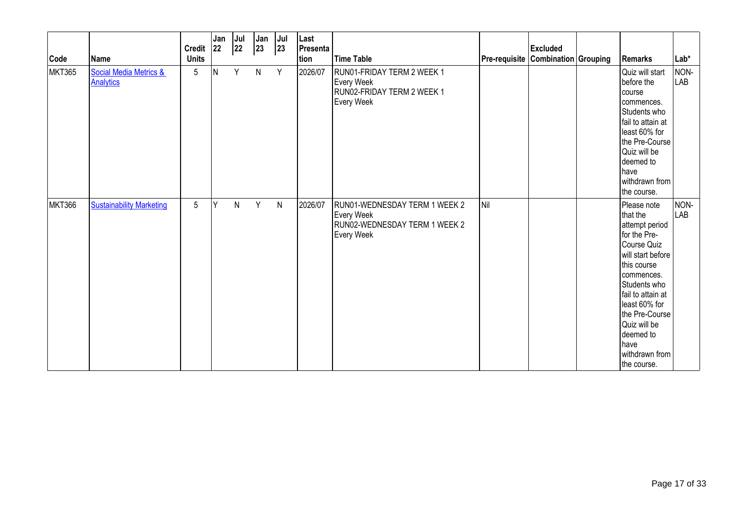| Code          | Name                                       | <b>Credit</b><br><b>Units</b> | Jan<br> 22 | Jul<br>22 | Jan<br>23    | Jul<br>23    | Last<br>Presenta<br>tion | <b>Time Table</b>                                                                                  | Pre-requisite Combination Grouping | <b>Excluded</b> | Remarks                                                                                                                                                                                                                                                                          | $Lab*$      |
|---------------|--------------------------------------------|-------------------------------|------------|-----------|--------------|--------------|--------------------------|----------------------------------------------------------------------------------------------------|------------------------------------|-----------------|----------------------------------------------------------------------------------------------------------------------------------------------------------------------------------------------------------------------------------------------------------------------------------|-------------|
| <b>MKT365</b> | Social Media Metrics &<br><b>Analytics</b> | 5                             | IN.        | Y         | $\mathsf{N}$ | Y            | 2026/07                  | RUN01-FRIDAY TERM 2 WEEK 1<br><b>Every Week</b><br>RUN02-FRIDAY TERM 2 WEEK 1<br><b>Every Week</b> |                                    |                 | Quiz will start<br>before the<br>course<br>commences.<br>Students who<br>fail to attain at<br>least 60% for<br>the Pre-Course<br>Quiz will be<br>deemed to<br><b>I</b> have<br>withdrawn from<br>the course.                                                                     | NON-<br>LAB |
| <b>MKT366</b> | <b>Sustainability Marketing</b>            | 5                             | lΥ         | N         | Y            | $\mathsf{N}$ | 2026/07                  | RUN01-WEDNESDAY TERM 1 WEEK 2<br><b>Every Week</b><br>RUN02-WEDNESDAY TERM 1 WEEK 2<br>Every Week  | Nil                                |                 | Please note<br>that the<br>attempt period<br>for the Pre-<br>Course Quiz<br>will start before<br>this course<br>commences.<br>Students who<br>fail to attain at<br>least 60% for<br>the Pre-Course<br>Quiz will be<br>deemed to<br><b>Ihave</b><br>withdrawn from<br>the course. | NON-<br>LAB |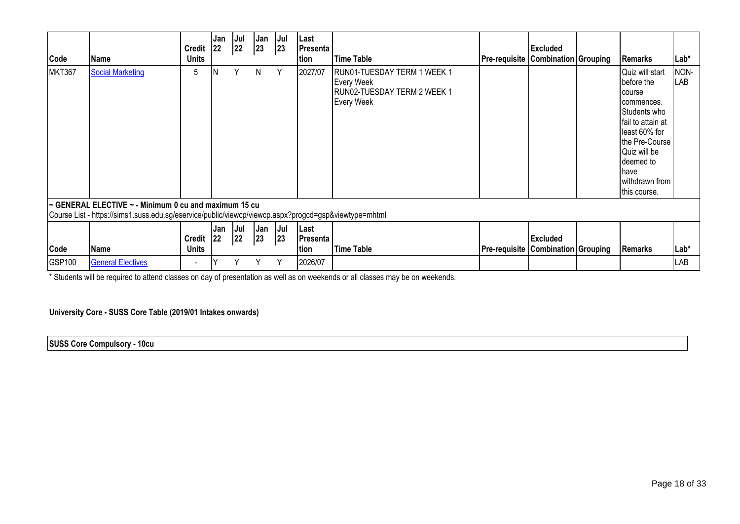| Code          | Name                                                                                                                                                          | <b>Credit</b><br><b>Units</b> | Jan<br> 22 | Jul<br> 22 | Jan<br> 23 | Jul<br> 23 | Last<br><b>Presenta</b>  <br>tion | <b>Time Table</b>                                                                                    | <b>Pre-requisite Combination Grouping</b> | <b>Excluded</b> | <b>Remarks</b>                                                                                                                                                                                               | Lab*        |
|---------------|---------------------------------------------------------------------------------------------------------------------------------------------------------------|-------------------------------|------------|------------|------------|------------|-----------------------------------|------------------------------------------------------------------------------------------------------|-------------------------------------------|-----------------|--------------------------------------------------------------------------------------------------------------------------------------------------------------------------------------------------------------|-------------|
| <b>MKT367</b> | <b>Social Marketing</b>                                                                                                                                       | 5                             |            | Υ          | N          | Υ          | 2027/07                           | RUN01-TUESDAY TERM 1 WEEK 1<br><b>Every Week</b><br>RUN02-TUESDAY TERM 2 WEEK 1<br><b>Every Week</b> |                                           |                 | Quiz will start<br>before the<br>course<br>commences.<br>Students who<br>fail to attain at<br>least 60% for<br>the Pre-Course<br>Quiz will be<br>Ideemed to<br><b>have</b><br>withdrawn from<br>this course. | NON-<br>LAB |
|               | ~ GENERAL ELECTIVE ~ - Minimum 0 cu and maximum 15 cu<br>Course List - https://sims1.suss.edu.sg/eservice/public/viewcp/viewcp.aspx?progcd=gsp&viewtype=mhtml |                               |            |            |            |            |                                   |                                                                                                      |                                           |                 |                                                                                                                                                                                                              |             |
| Code          | Name                                                                                                                                                          | <b>Credit</b><br><b>Units</b> | Jan<br> 22 | Jul<br> 22 | Jan<br>23  | Jul<br> 23 | Last<br> Presenta<br>tion         | <b>Time Table</b>                                                                                    | <b>Pre-requisite Combination Grouping</b> | <b>Excluded</b> | Remarks                                                                                                                                                                                                      | Lab*        |
| GSP100        | <b>General Electives</b>                                                                                                                                      | $\blacksquare$                |            |            |            |            | 2026/07                           |                                                                                                      |                                           |                 |                                                                                                                                                                                                              | LAB         |

\* Students will be required to attend classes on day of presentation as well as on weekends or all classes may be on weekends.

**University Core - SUSS Core Table (2019/01 Intakes onwards)** 

**SUSS Core Compulsory - 10cu**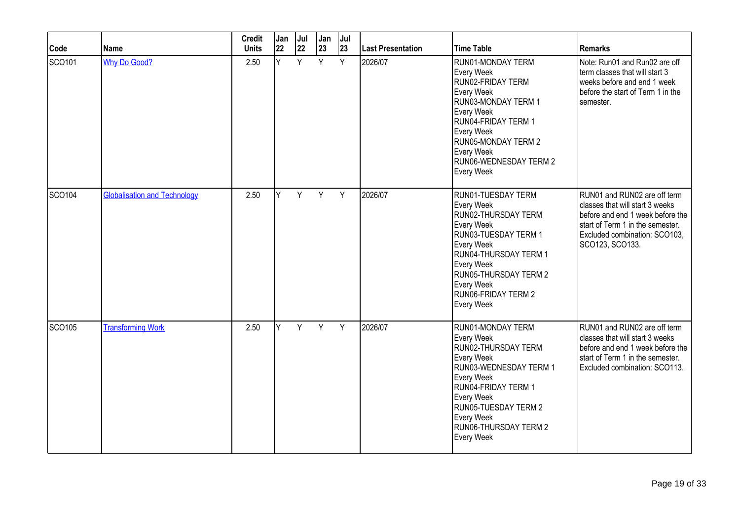| Code          | <b>Name</b>                         | <b>Credit</b><br><b>Units</b> | Jan<br>22 | Jul<br>22 | Jan<br>23 | Jul<br>23 | <b>Last Presentation</b> | <b>Time Table</b>                                                                                                                                                                                                                            | <b>Remarks</b>                                                                                                                                                                              |
|---------------|-------------------------------------|-------------------------------|-----------|-----------|-----------|-----------|--------------------------|----------------------------------------------------------------------------------------------------------------------------------------------------------------------------------------------------------------------------------------------|---------------------------------------------------------------------------------------------------------------------------------------------------------------------------------------------|
| SCO101        | <b>Why Do Good?</b>                 | 2.50                          | Ÿ         | Y         | Y         | Y         | 2026/07                  | RUN01-MONDAY TERM<br>Every Week<br>RUN02-FRIDAY TERM<br>Every Week<br>RUN03-MONDAY TERM 1<br>Every Week<br>RUN04-FRIDAY TERM 1<br>Every Week<br><b>RUN05-MONDAY TERM 2</b><br>Every Week<br>RUN06-WEDNESDAY TERM 2<br><b>Every Week</b>      | Note: Run01 and Run02 are off<br>term classes that will start 3<br>weeks before and end 1 week<br>before the start of Term 1 in the<br>semester.                                            |
| SCO104        | <b>Globalisation and Technology</b> | 2.50                          | Y         | Y         | Y         | Y         | 2026/07                  | RUN01-TUESDAY TERM<br>Every Week<br>RUN02-THURSDAY TERM<br>Every Week<br>RUN03-TUESDAY TERM 1<br>Every Week<br>RUN04-THURSDAY TERM 1<br>Every Week<br><b>RUN05-THURSDAY TERM 2</b><br>Every Week<br><b>RUN06-FRIDAY TERM 2</b><br>Every Week | RUN01 and RUN02 are off term<br>classes that will start 3 weeks<br>before and end 1 week before the<br>start of Term 1 in the semester.<br>Excluded combination: SCO103.<br>SCO123, SCO133. |
| <b>SCO105</b> | <b>Transforming Work</b>            | 2.50                          | ΙY.       | Y         | Y         | Y         | 2026/07                  | RUN01-MONDAY TERM<br>Every Week<br>RUN02-THURSDAY TERM<br>Every Week<br>RUN03-WEDNESDAY TERM 1<br>Every Week<br>RUN04-FRIDAY TERM 1<br>Every Week<br><b>RUN05-TUESDAY TERM 2</b><br>Every Week<br>RUN06-THURSDAY TERM 2<br>Every Week        | RUN01 and RUN02 are off term<br>classes that will start 3 weeks<br>before and end 1 week before the<br>start of Term 1 in the semester.<br>Excluded combination: SCO113.                    |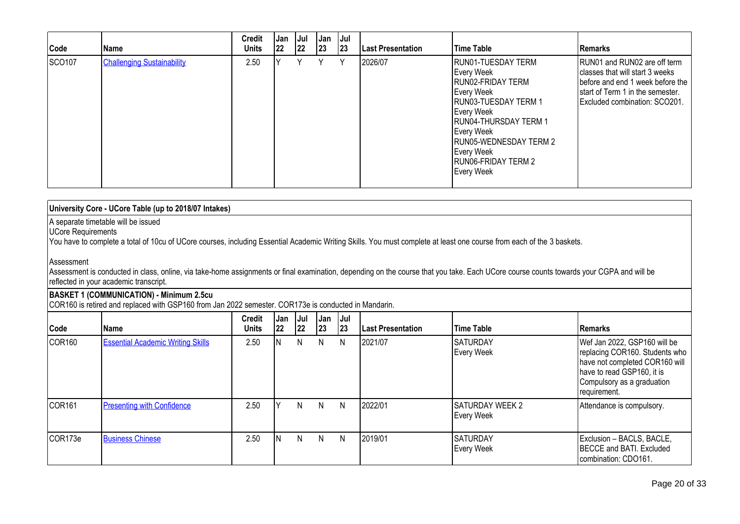| Code   | Name                              | <b>Credit</b><br><b>Units</b> | Jan<br> 22 | Jul<br> 22 | <b>Jan</b><br>23 | Jul<br> 23 | <b>Last Presentation</b> | Time Table                                                                                                                                                                                                                                         | Remarks                                                                                                                                                                   |
|--------|-----------------------------------|-------------------------------|------------|------------|------------------|------------|--------------------------|----------------------------------------------------------------------------------------------------------------------------------------------------------------------------------------------------------------------------------------------------|---------------------------------------------------------------------------------------------------------------------------------------------------------------------------|
| SCO107 | <b>Challenging Sustainability</b> | 2.50                          |            |            | ٧                | ٧          | 2026/07                  | RUN01-TUESDAY TERM<br>Every Week<br>RUN02-FRIDAY TERM<br>Every Week<br>RUN03-TUESDAY TERM 1<br>Every Week<br><b>RUN04-THURSDAY TERM 1</b><br>Every Week<br><b>RUN05-WEDNESDAY TERM 2</b><br>Every Week<br><b>RUNO6-FRIDAY TERM 2</b><br>Every Week | RUN01 and RUN02 are off term<br>classes that will start 3 weeks<br>before and end 1 week before the<br>Istart of Term 1 in the semester.<br>Excluded combination: SCO201. |

| University Core - UCore Table (up to 2018/07 Intakes)                                                                                                                 |
|-----------------------------------------------------------------------------------------------------------------------------------------------------------------------|
| A separate timetable will be issued<br>UCore Requirements                                                                                                             |
| You have to complete a total of 10cu of UCore courses, including Essential Academic Writing Skills. You must complete at least one course from each of the 3 baskets. |

## Assessment

Assessment is conducted in class, online, via take-home assignments or final examination, depending on the course that you take. Each UCore course counts towards your CGPA and will be reflected in your academic transcript.

### **BASKET 1 (COMMUNICATION) - Minimum 2.5cu**

COR160 is retired and replaced with GSP160 from Jan 2022 semester. COR173e is conducted in Mandarin.

| Code               | <b>Name</b>                              | <b>Credit</b><br><b>Units</b> | , Jan<br>22 | Jul  <br> 22 | Jan<br> 23 | <b>Jul</b><br> 23 | <b>Last Presentation</b> | <b>Time Table</b>                    | <b>IRemarks</b>                                                                                                                                                              |
|--------------------|------------------------------------------|-------------------------------|-------------|--------------|------------|-------------------|--------------------------|--------------------------------------|------------------------------------------------------------------------------------------------------------------------------------------------------------------------------|
| COR <sub>160</sub> | <b>Essential Academic Writing Skills</b> | 2.50                          |             | N            | N          | N                 | 2021/07                  | <b>SATURDAY</b><br>Every Week        | Wef Jan 2022, GSP160 will be<br>replacing COR160. Students who<br>have not completed COR160 will<br>have to read GSP160, it is<br>Compulsory as a graduation<br>requirement. |
| COR <sub>161</sub> | <b>Presenting with Confidence</b>        | 2.50                          |             | N.           | N.         | N                 | 2022/01                  | <b>SATURDAY WEEK 2</b><br>Every Week | Attendance is compulsory.                                                                                                                                                    |
| COR173e            | <b>Business Chinese</b>                  | 2.50                          |             | N.           | N.         | N                 | 2019/01                  | <b>SATURDAY</b><br>Every Week        | Exclusion - BACLS, BACLE,<br><b>IBECCE and BATI. Excluded</b><br>combination: CDO161.                                                                                        |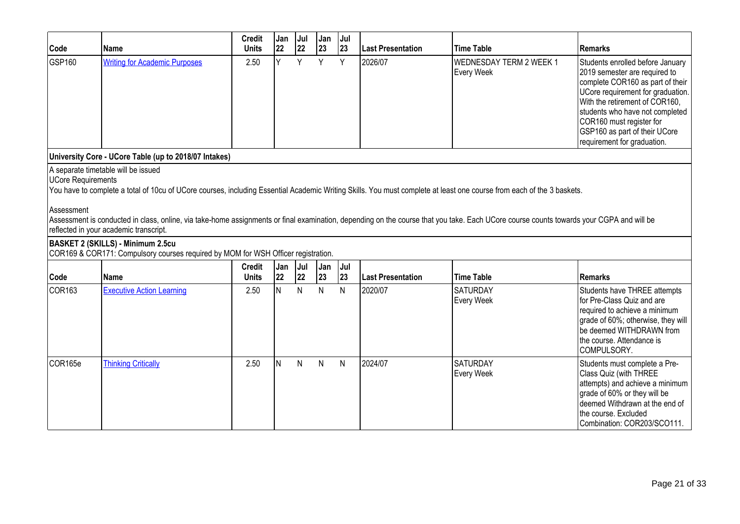| Code                                    | <b>Name</b>                                                                                                                                                                                                                                                                                                                                                                                                                                       | <b>Credit</b><br><b>Units</b> | Jan<br>22 | Jul<br>22 | Jan<br>23 | Jul<br>23 | <b>Last Presentation</b> | <b>Time Table</b>                            | <b>Remarks</b>                                                                                                                                                                                                                                                                                              |
|-----------------------------------------|---------------------------------------------------------------------------------------------------------------------------------------------------------------------------------------------------------------------------------------------------------------------------------------------------------------------------------------------------------------------------------------------------------------------------------------------------|-------------------------------|-----------|-----------|-----------|-----------|--------------------------|----------------------------------------------|-------------------------------------------------------------------------------------------------------------------------------------------------------------------------------------------------------------------------------------------------------------------------------------------------------------|
| GSP160                                  | <b>Writing for Academic Purposes</b>                                                                                                                                                                                                                                                                                                                                                                                                              | 2.50                          | ΙY.       | Y         | Y         | Y         | 2026/07                  | <b>WEDNESDAY TERM 2 WEEK 1</b><br>Every Week | Students enrolled before January<br>2019 semester are required to<br>complete COR160 as part of their<br>UCore requirement for graduation.<br>With the retirement of COR160,<br>students who have not completed<br>COR160 must register for<br>GSP160 as part of their UCore<br>requirement for graduation. |
|                                         | University Core - UCore Table (up to 2018/07 Intakes)                                                                                                                                                                                                                                                                                                                                                                                             |                               |           |           |           |           |                          |                                              |                                                                                                                                                                                                                                                                                                             |
| <b>UCore Requirements</b><br>Assessment | A separate timetable will be issued<br>You have to complete a total of 10cu of UCore courses, including Essential Academic Writing Skills. You must complete at least one course from each of the 3 baskets.<br>Assessment is conducted in class, online, via take-home assignments or final examination, depending on the course that you take. Each UCore course counts towards your CGPA and will be<br>reflected in your academic transcript. |                               |           |           |           |           |                          |                                              |                                                                                                                                                                                                                                                                                                             |
|                                         | <b>BASKET 2 (SKILLS) - Minimum 2.5cu</b><br>COR169 & COR171: Compulsory courses required by MOM for WSH Officer registration.                                                                                                                                                                                                                                                                                                                     |                               |           |           |           |           |                          |                                              |                                                                                                                                                                                                                                                                                                             |
| Code                                    | <b>Name</b>                                                                                                                                                                                                                                                                                                                                                                                                                                       | <b>Credit</b><br><b>Units</b> | Jan<br>22 | Jul<br>22 | Jan<br>23 | Jul<br>23 | Last Presentation        | <b>Time Table</b>                            | <b>Remarks</b>                                                                                                                                                                                                                                                                                              |
| <b>COR163</b>                           | <b>Executive Action Learning</b>                                                                                                                                                                                                                                                                                                                                                                                                                  | 2.50                          | lN.       | N         | N         | N         | 2020/07                  | <b>SATURDAY</b><br>Every Week                | Students have THREE attempts<br>for Pre-Class Quiz and are<br>required to achieve a minimum<br>grade of 60%; otherwise, they will<br>be deemed WITHDRAWN from<br>the course. Attendance is<br>COMPULSORY.                                                                                                   |
| COR165e                                 | <b>Thinking Critically</b>                                                                                                                                                                                                                                                                                                                                                                                                                        | 2.50                          | lN.       | N         | N         | N         | 2024/07                  | <b>SATURDAY</b><br>Every Week                | Students must complete a Pre-<br>Class Quiz (with THREE<br>attempts) and achieve a minimum<br>grade of 60% or they will be<br>deemed Withdrawn at the end of<br>the course. Excluded<br>Combination: COR203/SCO111.                                                                                         |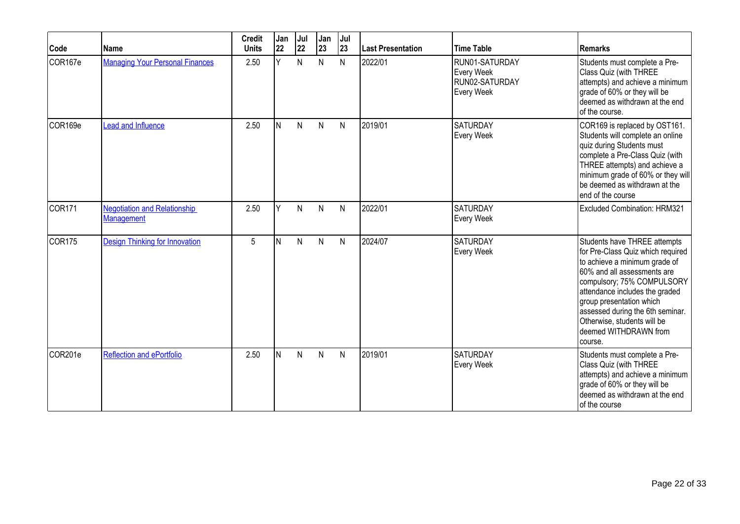| Code               | Name                                                     | <b>Credit</b><br><b>Units</b> | Jan<br>22 | Jul<br>22 | Jan<br>23    | Jul<br>23    | Last Presentation | <b>Time Table</b>                                            | <b>Remarks</b>                                                                                                                                                                                                                                                                                                                       |
|--------------------|----------------------------------------------------------|-------------------------------|-----------|-----------|--------------|--------------|-------------------|--------------------------------------------------------------|--------------------------------------------------------------------------------------------------------------------------------------------------------------------------------------------------------------------------------------------------------------------------------------------------------------------------------------|
| COR167e            | <b>Managing Your Personal Finances</b>                   | 2.50                          | Y         | N         | N            | N            | 2022/01           | RUN01-SATURDAY<br>Every Week<br>RUN02-SATURDAY<br>Every Week | Students must complete a Pre-<br>Class Quiz (with THREE<br>attempts) and achieve a minimum<br>grade of 60% or they will be<br>deemed as withdrawn at the end<br>of the course.                                                                                                                                                       |
| COR169e            | Lead and Influence                                       | 2.50                          | IN.       | N         | $\mathsf{N}$ | N            | 2019/01           | <b>SATURDAY</b><br>Every Week                                | COR169 is replaced by OST161.<br>Students will complete an online<br>quiz during Students must<br>complete a Pre-Class Quiz (with<br>THREE attempts) and achieve a<br>minimum grade of 60% or they will<br>be deemed as withdrawn at the<br>end of the course                                                                        |
| COR <sub>171</sub> | <b>Negotiation and Relationship</b><br><b>Management</b> | 2.50                          | Y         | N         | N            | N            | 2022/01           | <b>SATURDAY</b><br>Every Week                                | Excluded Combination: HRM321                                                                                                                                                                                                                                                                                                         |
| COR <sub>175</sub> | <b>Design Thinking for Innovation</b>                    | 5                             | IN.       | N         | $\mathsf{N}$ | N            | 2024/07           | <b>SATURDAY</b><br>Every Week                                | Students have THREE attempts<br>for Pre-Class Quiz which required<br>to achieve a minimum grade of<br>60% and all assessments are<br>compulsory; 75% COMPULSORY<br>attendance includes the graded<br>group presentation which<br>assessed during the 6th seminar.<br>Otherwise, students will be<br>deemed WITHDRAWN from<br>course. |
| COR201e            | <b>Reflection and ePortfolio</b>                         | 2.50                          | IN.       | N         | N            | $\mathsf{N}$ | 2019/01           | <b>SATURDAY</b><br>Every Week                                | Students must complete a Pre-<br>Class Quiz (with THREE<br>attempts) and achieve a minimum<br>grade of 60% or they will be<br>deemed as withdrawn at the end<br>of the course                                                                                                                                                        |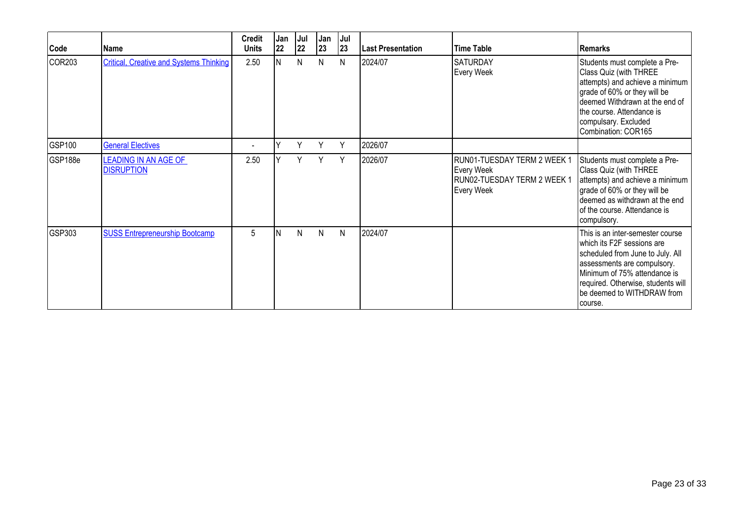| Code    | Name                                             | <b>Credit</b><br><b>Units</b> | Jan<br>22 | Jul<br>22 | Jan<br>23 | Jul<br>23    | <b>Last Presentation</b> | Time Table                                                                             | <b>Remarks</b>                                                                                                                                                                                                                                    |
|---------|--------------------------------------------------|-------------------------------|-----------|-----------|-----------|--------------|--------------------------|----------------------------------------------------------------------------------------|---------------------------------------------------------------------------------------------------------------------------------------------------------------------------------------------------------------------------------------------------|
| COR203  | <b>Critical, Creative and Systems Thinking</b>   | 2.50                          | IN.       | N         | N         | N            | 2024/07                  | <b>SATURDAY</b><br>Every Week                                                          | Students must complete a Pre-<br>Class Quiz (with THREE<br>attempts) and achieve a minimum<br>grade of 60% or they will be<br>deemed Withdrawn at the end of<br>the course. Attendance is<br>compulsary. Excluded<br>Combination: COR165          |
| GSP100  | <b>General Electives</b>                         |                               |           | Y         | Υ         | Y            | 2026/07                  |                                                                                        |                                                                                                                                                                                                                                                   |
| GSP188e | <b>LEADING IN AN AGE OF</b><br><b>DISRUPTION</b> | 2.50                          |           | Y         | Y         | Y            | 2026/07                  | RUN01-TUESDAY TERM 2 WEEK 1<br>Every Week<br>RUN02-TUESDAY TERM 2 WEEK 1<br>Every Week | Students must complete a Pre-<br>Class Quiz (with THREE<br>attempts) and achieve a minimum<br>grade of 60% or they will be<br>deemed as withdrawn at the end<br>of the course. Attendance is<br>compulsory.                                       |
| GSP303  | <b>SUSS Entrepreneurship Bootcamp</b>            | 5                             | ΙN        | N         | N         | $\mathsf{N}$ | 2024/07                  |                                                                                        | This is an inter-semester course<br>which its F2F sessions are<br>scheduled from June to July. All<br>assessments are compulsory.<br>Minimum of 75% attendance is<br>required. Otherwise, students will<br>be deemed to WITHDRAW from<br>Icourse. |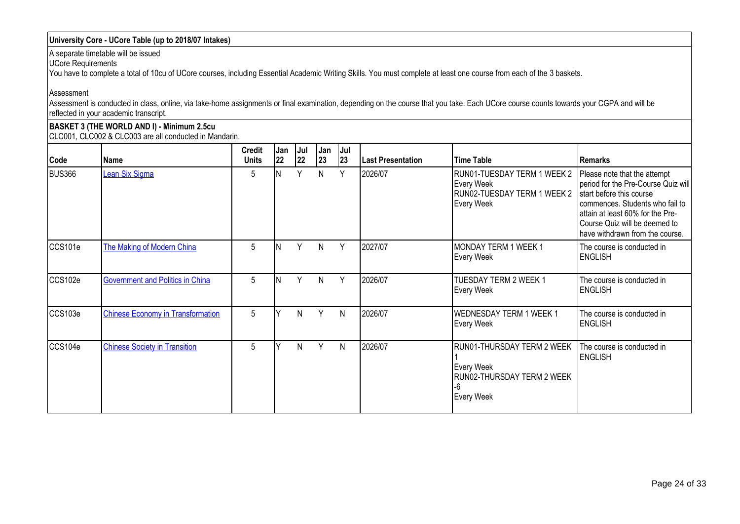# **University Core - UCore Table (up to 2018/07 Intakes)**

A separate timetable will be issued

UCore Requirements

You have to complete a total of 10cu of UCore courses, including Essential Academic Writing Skills. You must complete at least one course from each of the 3 baskets.

Assessment

Assessment is conducted in class, online, via take-home assignments or final examination, depending on the course that you take. Each UCore course counts towards your CGPA and will be reflected in your academic transcript.

**BASKET 3 (THE WORLD AND I) - Minimum 2.5cu** CLC001, CLC002 & CLC003 are all conducted in Mandarin.

| Code          | Name                                     | <b>Credit</b><br><b>Units</b> | l Jan<br>22 | Jul<br>22 | Jan<br>23 | IJul<br>23 | <b>Last Presentation</b> | <b>Time Table</b>                                                                          | Remarks                                                                                                                                                                                                                                    |
|---------------|------------------------------------------|-------------------------------|-------------|-----------|-----------|------------|--------------------------|--------------------------------------------------------------------------------------------|--------------------------------------------------------------------------------------------------------------------------------------------------------------------------------------------------------------------------------------------|
| <b>BUS366</b> | Lean Six Sigma                           | 5                             | ΙN          | Y         | N         | Y          | 2026/07                  | RUN01-TUESDAY TERM 1 WEEK 2<br>Every Week<br>RUN02-TUESDAY TERM 1 WEEK 2<br>Every Week     | Please note that the attempt<br>period for the Pre-Course Quiz will<br>start before this course<br>commences. Students who fail to<br>attain at least 60% for the Pre-<br>Course Quiz will be deemed to<br>have withdrawn from the course. |
| CCS101e       | The Making of Modern China               | 5                             | ΙN          | Y         | N         | Y          | 2027/07                  | MONDAY TERM 1 WEEK 1<br>Every Week                                                         | The course is conducted in<br><b>ENGLISH</b>                                                                                                                                                                                               |
| CCS102e       | Government and Politics in China         | 5                             | ΙN          | Y         | N         | Y          | 2026/07                  | TUESDAY TERM 2 WEEK 1<br>Every Week                                                        | The course is conducted in<br><b>ENGLISH</b>                                                                                                                                                                                               |
| CCS103e       | <b>Chinese Economy in Transformation</b> | 5                             |             | N.        | Y         | N          | 2026/07                  | <b>WEDNESDAY TERM 1 WEEK 1</b><br>Every Week                                               | The course is conducted in<br><b>ENGLISH</b>                                                                                                                                                                                               |
| CCS104e       | <b>Chinese Society in Transition</b>     | 5                             |             | N         | Y         | N          | 2026/07                  | RUN01-THURSDAY TERM 2 WEEK<br>Every Week<br>RUN02-THURSDAY TERM 2 WEEK<br>-6<br>Every Week | The course is conducted in<br><b>ENGLISH</b>                                                                                                                                                                                               |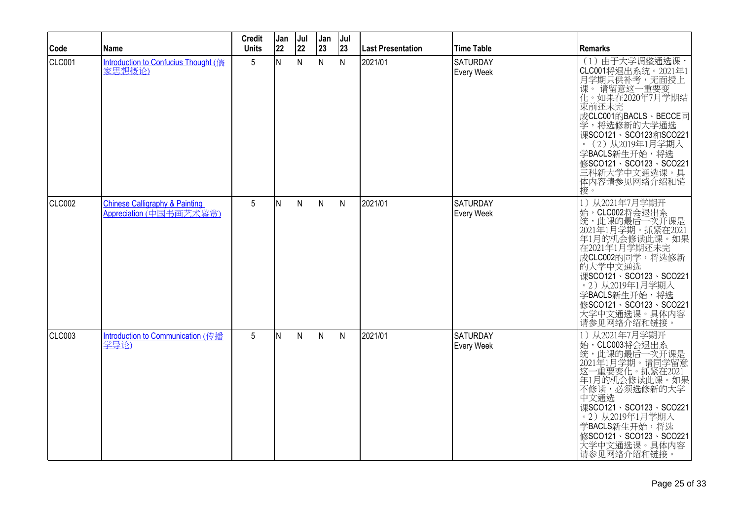| Code   | <b>Name</b>                                                          | <b>Credit</b><br><b>Units</b> | Jan<br>22 | Jul<br>22    | Jan<br>23    | Jul<br>23 | <b>Last Presentation</b> | <b>Time Table</b>                    | <b>Remarks</b>                                                                                                                                                                                                                                                          |
|--------|----------------------------------------------------------------------|-------------------------------|-----------|--------------|--------------|-----------|--------------------------|--------------------------------------|-------------------------------------------------------------------------------------------------------------------------------------------------------------------------------------------------------------------------------------------------------------------------|
| CLC001 | <b>Introduction to Confucius Thought (儒</b><br>家思想概论)                | 5 <sup>5</sup>                | IN.       | N            | $\mathsf{N}$ | ${\sf N}$ | 2021/01                  | SATURDAY<br>Every Week               | (1) 由于大学调整通选课,<br>CLC001将退出系统。2021年1<br>月学期只供补考,无面授上<br>课。请留意这一重要变<br>化。如果在2020年7月学期结<br>東前还未完<br>成CLC001的BACLS、BECCE同<br>学,将选修新的大学通选<br>课SCO121、SCO123和SCO221<br>。(2)从2019年1月学期入<br>学BACLS新生开始,将选<br>修SCO121、SCO123、SCO221<br>三科新大学中文通选课。具<br>体内容请参见网络介绍和链<br>接。       |
| CLC002 | <b>Chinese Calligraphy &amp; Painting</b><br>Appreciation (中国书画艺术鉴赏) | 5                             | IN.       | N            | $\mathsf{N}$ | N         | 2021/01                  | <b>SATURDAY</b><br>Every Week        | 1) 从2021年7月学期开<br>始,CLC002将会退出系<br>统,此课的最后一次开课是<br>2021年1月学期。抓紧在2021<br>年1月的机会修读此课。如果<br>在2021年1月学期还未完<br>成CLC002的同学,将选修新<br>的大学中文通选<br>课SCO121、SCO123、SCO221<br>· 2) 从2019年1月学期入<br>学BACLS新生开始,将选<br>修SCO121、SCO123、SCO221<br>大学中文通选课。具体内容<br>请参见网络介绍和链接               |
| CLC003 | Introduction to Communication (传播<br>学导论)                            | 5 <sup>5</sup>                | IN.       | $\mathsf{N}$ | $\mathsf{N}$ | N         | 2021/01                  | <b>SATURDAY</b><br><b>Every Week</b> | 从2021年7月学期开<br>1)<br>始,CLC003将会退出系<br>统,此课的最后一次开课是<br>2021年1月学期。请同学留意<br>331-重要变化。抓紧在2021<br>这一重要变化。抓紧在2021<br>年1月的机会修读此课。如果<br>不修读,必须选修新的大学<br>中文通选<br>课SCO121、SCO123、SCO221<br>。2)从2019年1月学期入<br>学BACLS新生开始,将选<br>修SCO121、SCO123、SCO221<br>大学中文通选课。具体内容<br>请参见网络介绍和链接 |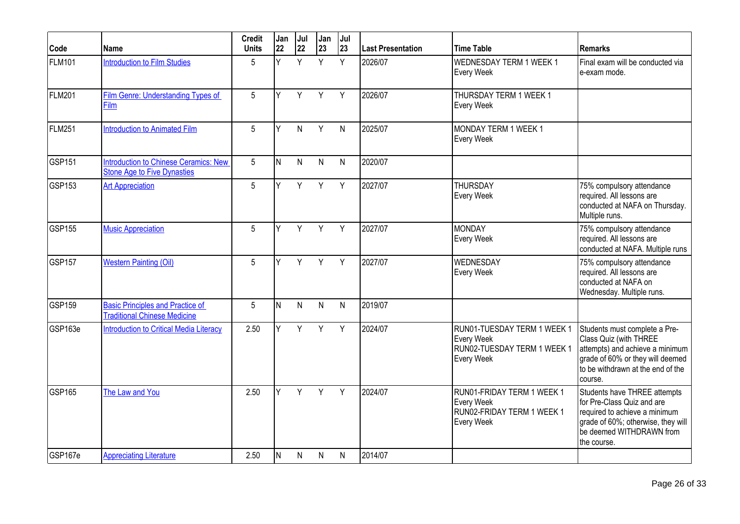| Code          | <b>Name</b>                                                                    | <b>Credit</b><br><b>Units</b> | Jan<br>22 | Jul<br>22 | Jan<br>23    | Jul<br>23    | <b>Last Presentation</b> | Time Table                                                                             | <b>Remarks</b>                                                                                                                                                                 |
|---------------|--------------------------------------------------------------------------------|-------------------------------|-----------|-----------|--------------|--------------|--------------------------|----------------------------------------------------------------------------------------|--------------------------------------------------------------------------------------------------------------------------------------------------------------------------------|
| <b>FLM101</b> | <b>Introduction to Film Studies</b>                                            | 5                             | Y.        | Y         | Y            | Y            | 2026/07                  | WEDNESDAY TERM 1 WEEK 1<br>Every Week                                                  | Final exam will be conducted via<br>e-exam mode.                                                                                                                               |
| <b>FLM201</b> | <b>Film Genre: Understanding Types of</b><br>Film                              | 5                             | <b>V</b>  | Y         | Y            | Y            | 2026/07                  | THURSDAY TERM 1 WEEK 1<br>Every Week                                                   |                                                                                                                                                                                |
| <b>FLM251</b> | <b>Introduction to Animated Film</b>                                           | 5                             | <b>V</b>  | N         | Y            | $\mathsf{N}$ | 2025/07                  | MONDAY TERM 1 WEEK 1<br>Every Week                                                     |                                                                                                                                                                                |
| <b>GSP151</b> | Introduction to Chinese Ceramics: New<br><b>Stone Age to Five Dynasties</b>    | 5                             | N         | N         | N            | N            | 2020/07                  |                                                                                        |                                                                                                                                                                                |
| GSP153        | <b>Art Appreciation</b>                                                        | 5                             | Y         | Y         | Y            | Y            | 2027/07                  | <b>THURSDAY</b><br>Every Week                                                          | 75% compulsory attendance<br>required. All lessons are<br>conducted at NAFA on Thursday.<br>Multiple runs.                                                                     |
| <b>GSP155</b> | <b>Music Appreciation</b>                                                      | 5                             | V         | Y         | Y            | Y            | 2027/07                  | <b>I</b> MONDAY<br>Every Week                                                          | 75% compulsory attendance<br>required. All lessons are<br>conducted at NAFA. Multiple runs                                                                                     |
| <b>GSP157</b> | <b>Western Painting (Oil)</b>                                                  | 5                             | v         | Y         | Y            | Y            | 2027/07                  | <b>WEDNESDAY</b><br>Every Week                                                         | 75% compulsory attendance<br>required. All lessons are<br>conducted at NAFA on<br>Wednesday. Multiple runs.                                                                    |
| GSP159        | <b>Basic Principles and Practice of</b><br><b>Traditional Chinese Medicine</b> | $5\overline{)}$               | N         | N         | $\mathsf{N}$ | $\mathsf{N}$ | 2019/07                  |                                                                                        |                                                                                                                                                                                |
| GSP163e       | <b>Introduction to Critical Media Literacy</b>                                 | 2.50                          | <b>V</b>  | Y         | Y            | Y            | 2024/07                  | RUN01-TUESDAY TERM 1 WEEK 1<br>Every Week<br>RUN02-TUESDAY TERM 1 WEEK 1<br>Every Week | Students must complete a Pre-<br>Class Quiz (with THREE<br>attempts) and achieve a minimum<br>grade of 60% or they will deemed<br>to be withdrawn at the end of the<br>course. |
| <b>GSP165</b> | The Law and You                                                                | 2.50                          | Y         | Y         | Y            | Y            | 2024/07                  | RUN01-FRIDAY TERM 1 WEEK 1<br>Every Week<br>RUN02-FRIDAY TERM 1 WEEK 1<br>Every Week   | Students have THREE attempts<br>for Pre-Class Quiz and are<br>required to achieve a minimum<br>grade of 60%; otherwise, they will<br>be deemed WITHDRAWN from<br>the course.   |
| GSP167e       | <b>Appreciating Literature</b>                                                 | 2.50                          | N         | N         | N            | N            | 2014/07                  |                                                                                        |                                                                                                                                                                                |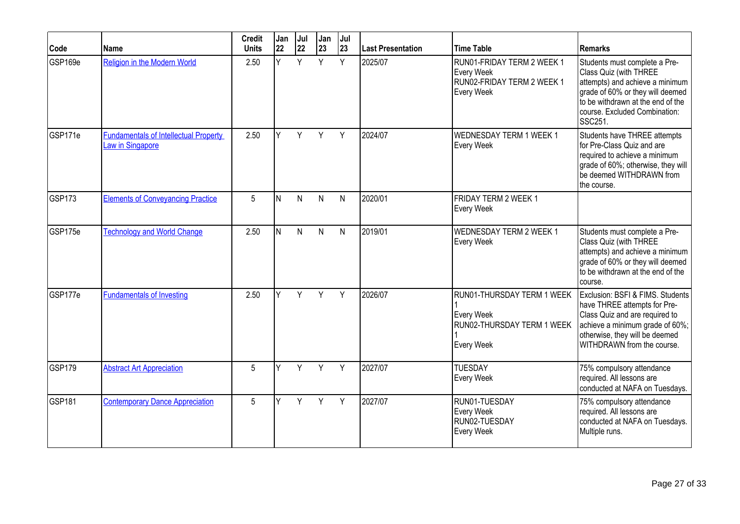| Code          | <b>Name</b>                                                      | <b>Credit</b><br><b>Units</b> | Jan<br>22 | Jul<br>22 | Jan<br>23    | Jul<br>23 | <b>Last Presentation</b> | <b>Time Table</b>                                                                    | <b>Remarks</b>                                                                                                                                                                                                  |
|---------------|------------------------------------------------------------------|-------------------------------|-----------|-----------|--------------|-----------|--------------------------|--------------------------------------------------------------------------------------|-----------------------------------------------------------------------------------------------------------------------------------------------------------------------------------------------------------------|
| GSP169e       | <b>Religion in the Modern World</b>                              | 2.50                          | Ÿ         | Y         | Y            | Y         | 2025/07                  | RUN01-FRIDAY TERM 2 WEEK 1<br>Every Week<br>RUN02-FRIDAY TERM 2 WEEK 1<br>Every Week | Students must complete a Pre-<br>Class Quiz (with THREE<br>attempts) and achieve a minimum<br>grade of 60% or they will deemed<br>to be withdrawn at the end of the<br>course. Excluded Combination:<br>SSC251. |
| GSP171e       | <b>Fundamentals of Intellectual Property</b><br>Law in Singapore | 2.50                          | Y         | Y         | Y            | Y         | 2024/07                  | <b>WEDNESDAY TERM 1 WEEK 1</b><br>Every Week                                         | Students have THREE attempts<br>for Pre-Class Quiz and are<br>required to achieve a minimum<br>grade of 60%; otherwise, they will<br>be deemed WITHDRAWN from<br>the course.                                    |
| <b>GSP173</b> | <b>Elements of Conveyancing Practice</b>                         | 5                             | N         | N         | $\mathsf{N}$ | N         | 2020/01                  | <b>FRIDAY TERM 2 WEEK 1</b><br>Every Week                                            |                                                                                                                                                                                                                 |
| GSP175e       | <b>Technology and World Change</b>                               | 2.50                          | N         | N         | $\mathsf{N}$ | ${\sf N}$ | 2019/01                  | <b>WEDNESDAY TERM 2 WEEK 1</b><br><b>Every Week</b>                                  | Students must complete a Pre-<br>Class Quiz (with THREE<br>attempts) and achieve a minimum<br>grade of 60% or they will deemed<br>to be withdrawn at the end of the<br>course.                                  |
| GSP177e       | <b>Fundamentals of Investing</b>                                 | 2.50                          | Y         | Y         | Y            | Y         | 2026/07                  | RUN01-THURSDAY TERM 1 WEEK<br>Every Week<br>RUN02-THURSDAY TERM 1 WEEK<br>Every Week | Exclusion: BSFI & FIMS. Students<br>have THREE attempts for Pre-<br>Class Quiz and are required to<br>achieve a minimum grade of 60%;<br>otherwise, they will be deemed<br>WITHDRAWN from the course.           |
| GSP179        | <b>Abstract Art Appreciation</b>                                 | 5                             | Y         | Y         | Y            | Y         | 2027/07                  | <b>TUESDAY</b><br>Every Week                                                         | 75% compulsory attendance<br>required. All lessons are<br>conducted at NAFA on Tuesdays.                                                                                                                        |
| <b>GSP181</b> | <b>Contemporary Dance Appreciation</b>                           | 5                             | Y         | Y         | Y            | Y         | 2027/07                  | RUN01-TUESDAY<br>Every Week<br>RUN02-TUESDAY<br><b>Every Week</b>                    | 75% compulsory attendance<br>required. All lessons are<br>conducted at NAFA on Tuesdays.<br>Multiple runs.                                                                                                      |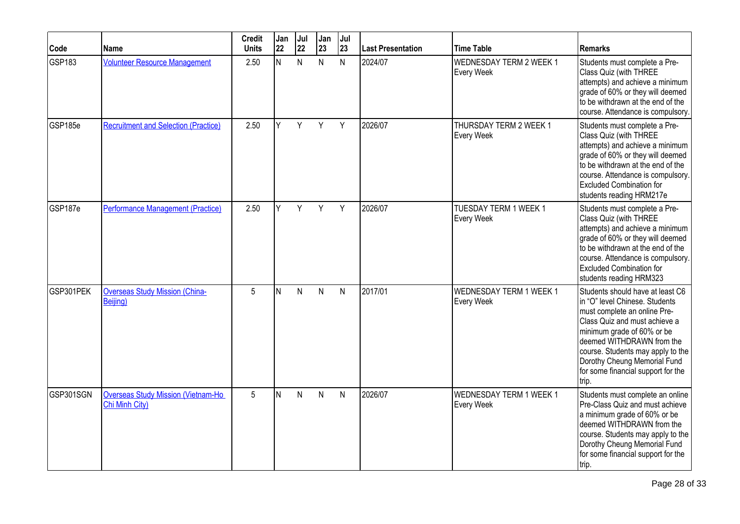| Code      | Name                                                        | <b>Credit</b><br><b>Units</b> | Jan<br>22 | Jul<br>22 | Jan<br>23    | Jul<br>23    | Last Presentation | <b>Time Table</b>                            | <b>Remarks</b>                                                                                                                                                                                                                                                                                                     |
|-----------|-------------------------------------------------------------|-------------------------------|-----------|-----------|--------------|--------------|-------------------|----------------------------------------------|--------------------------------------------------------------------------------------------------------------------------------------------------------------------------------------------------------------------------------------------------------------------------------------------------------------------|
| GSP183    | <b>Volunteer Resource Management</b>                        | 2.50                          | N         | N         | $\mathsf{N}$ | $\mathsf{N}$ | 2024/07           | <b>WEDNESDAY TERM 2 WEEK 1</b><br>Every Week | Students must complete a Pre-<br>Class Quiz (with THREE<br>attempts) and achieve a minimum<br>grade of 60% or they will deemed<br>to be withdrawn at the end of the<br>course. Attendance is compulsory.                                                                                                           |
| GSP185e   | <b>Recruitment and Selection (Practice)</b>                 | 2.50                          | Y         | Y         | Y            | Y            | 2026/07           | THURSDAY TERM 2 WEEK 1<br>Every Week         | Students must complete a Pre-<br>Class Quiz (with THREE<br>attempts) and achieve a minimum<br>grade of 60% or they will deemed<br>to be withdrawn at the end of the<br>course. Attendance is compulsory.<br><b>Excluded Combination for</b><br>students reading HRM217e                                            |
| GSP187e   | <b>Performance Management (Practice)</b>                    | 2.50                          |           | Y         | Y            | Y            | 2026/07           | TUESDAY TERM 1 WEEK 1<br>Every Week          | Students must complete a Pre-<br>Class Quiz (with THREE<br>attempts) and achieve a minimum<br>grade of 60% or they will deemed<br>to be withdrawn at the end of the<br>course. Attendance is compulsory.<br><b>Excluded Combination for</b><br>students reading HRM323                                             |
| GSP301PEK | <b>Overseas Study Mission (China-</b><br>Beijing)           | 5                             | N         | N         | N            | N            | 2017/01           | <b>WEDNESDAY TERM 1 WEEK 1</b><br>Every Week | Students should have at least C6<br>in "O" level Chinese. Students<br>must complete an online Pre-<br>Class Quiz and must achieve a<br>minimum grade of 60% or be<br>deemed WITHDRAWN from the<br>course. Students may apply to the<br>Dorothy Cheung Memorial Fund<br>for some financial support for the<br>trip. |
| GSP301SGN | <b>Overseas Study Mission (Vietnam-Ho</b><br>Chi Minh City) | 5                             | N         | N         | $\mathsf{N}$ | N            | 2026/07           | <b>WEDNESDAY TERM 1 WEEK 1</b><br>Every Week | Students must complete an online<br>Pre-Class Quiz and must achieve<br>a minimum grade of 60% or be<br>deemed WITHDRAWN from the<br>course. Students may apply to the<br>Dorothy Cheung Memorial Fund<br>for some financial support for the<br>trip.                                                               |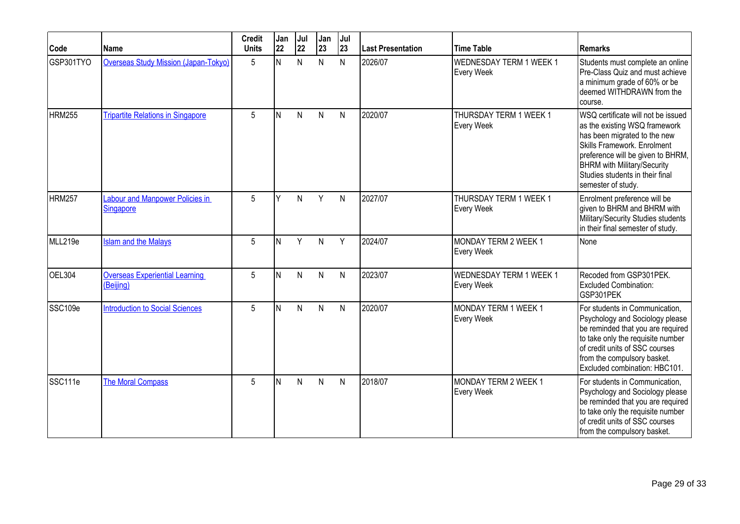| Code          | <b>Name</b>                                        | <b>Credit</b><br><b>Units</b> | Jan<br>22 | Jul<br>22 | Jan<br>23    | Jul<br>23    | <b>Last Presentation</b> | <b>Time Table</b>                                | <b>Remarks</b>                                                                                                                                                                                                                                                         |
|---------------|----------------------------------------------------|-------------------------------|-----------|-----------|--------------|--------------|--------------------------|--------------------------------------------------|------------------------------------------------------------------------------------------------------------------------------------------------------------------------------------------------------------------------------------------------------------------------|
| GSP301TYO     | <b>Overseas Study Mission (Japan-Tokyo)</b>        | 5                             | N         | N         | N            | N            | 2026/07                  | <b>WEDNESDAY TERM 1 WEEK 1</b><br>Every Week     | Students must complete an online<br>Pre-Class Quiz and must achieve<br>a minimum grade of 60% or be<br>deemed WITHDRAWN from the<br>course.                                                                                                                            |
| <b>HRM255</b> | <b>Tripartite Relations in Singapore</b>           | 5                             | IN.       | N         | $\mathsf{N}$ | $\mathsf{N}$ | 2020/07                  | THURSDAY TERM 1 WEEK 1<br>Every Week             | WSQ certificate will not be issued<br>as the existing WSQ framework<br>has been migrated to the new<br>Skills Framework. Enrolment<br>preference will be given to BHRM,<br><b>BHRM with Military/Security</b><br>Studies students in their final<br>semester of study. |
| <b>HRM257</b> | Labour and Manpower Policies in<br>Singapore       | 5                             | v         | N         | Y            | N            | 2027/07                  | THURSDAY TERM 1 WEEK 1<br>Every Week             | Enrolment preference will be<br>given to BHRM and BHRM with<br>Military/Security Studies students<br>in their final semester of study.                                                                                                                                 |
| MLL219e       | <b>Islam and the Malays</b>                        | 5                             | ΙN        | Y         | N            | Y            | 2024/07                  | MONDAY TERM 2 WEEK 1<br>Every Week               | None                                                                                                                                                                                                                                                                   |
| <b>OEL304</b> | <b>Overseas Experiential Learning</b><br>(Beijing) | 5                             | N         | N         | $\mathsf{N}$ | N            | 2023/07                  | WEDNESDAY TERM 1 WEEK 1<br>Every Week            | Recoded from GSP301PEK.<br><b>Excluded Combination:</b><br>GSP301PEK                                                                                                                                                                                                   |
| SSC109e       | <b>Introduction to Social Sciences</b>             | 5                             | N         | N         | $\mathsf{N}$ | $\mathsf{N}$ | 2020/07                  | MONDAY TERM 1 WEEK 1<br><b>Every Week</b>        | For students in Communication,<br>Psychology and Sociology please<br>be reminded that you are required<br>to take only the requisite number<br>of credit units of SSC courses<br>from the compulsory basket.<br>Excluded combination: HBC101.                          |
| SSC111e       | <b>The Moral Compass</b>                           | 5                             | IN.       | N         | N            | $\mathsf{N}$ | 2018/07                  | <b>MONDAY TERM 2 WEEK 1</b><br><b>Every Week</b> | For students in Communication,<br>Psychology and Sociology please<br>be reminded that you are required<br>to take only the requisite number<br>of credit units of SSC courses<br>from the compulsory basket.                                                           |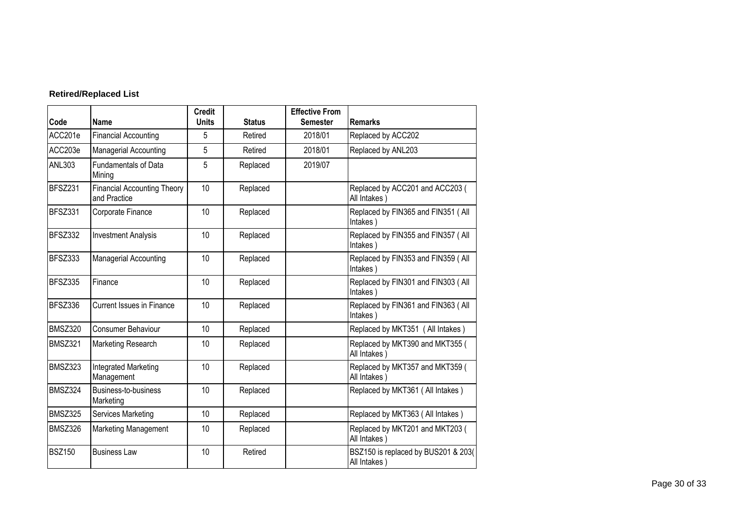# **Retired/Replaced List**

| Code           | <b>Name</b>                                        | <b>Credit</b><br><b>Units</b> | <b>Status</b> | <b>Effective From</b><br><b>Semester</b> | <b>Remarks</b>                                      |
|----------------|----------------------------------------------------|-------------------------------|---------------|------------------------------------------|-----------------------------------------------------|
| ACC201e        | <b>Financial Accounting</b>                        | 5                             | Retired       | 2018/01                                  | Replaced by ACC202                                  |
| ACC203e        | <b>Managerial Accounting</b>                       | 5                             | Retired       | 2018/01                                  | Replaced by ANL203                                  |
| <b>ANL303</b>  | <b>Fundamentals of Data</b><br>Mining              | 5                             | Replaced      | 2019/07                                  |                                                     |
| <b>BFSZ231</b> | <b>Financial Accounting Theory</b><br>and Practice | 10                            | Replaced      |                                          | Replaced by ACC201 and ACC203 (<br>All Intakes)     |
| BFSZ331        | Corporate Finance                                  | 10                            | Replaced      |                                          | Replaced by FIN365 and FIN351 (All<br>Intakes)      |
| BFSZ332        | <b>Investment Analysis</b>                         | 10                            | Replaced      |                                          | Replaced by FIN355 and FIN357 (All<br>Intakes)      |
| <b>BFSZ333</b> | Managerial Accounting                              | 10                            | Replaced      |                                          | Replaced by FIN353 and FIN359 (All<br>Intakes)      |
| BFSZ335        | Finance                                            | 10                            | Replaced      |                                          | Replaced by FIN301 and FIN303 (All<br>Intakes)      |
| BFSZ336        | <b>Current Issues in Finance</b>                   | 10                            | Replaced      |                                          | Replaced by FIN361 and FIN363 (All<br>Intakes)      |
| <b>BMSZ320</b> | <b>Consumer Behaviour</b>                          | 10                            | Replaced      |                                          | Replaced by MKT351 (All Intakes)                    |
| <b>BMSZ321</b> | Marketing Research                                 | 10                            | Replaced      |                                          | Replaced by MKT390 and MKT355 (<br>All Intakes)     |
| BMSZ323        | Integrated Marketing<br>Management                 | 10                            | Replaced      |                                          | Replaced by MKT357 and MKT359 (<br>All Intakes      |
| BMSZ324        | Business-to-business<br>Marketing                  | 10                            | Replaced      |                                          | Replaced by MKT361 (All Intakes)                    |
| <b>BMSZ325</b> | Services Marketing                                 | 10                            | Replaced      |                                          | Replaced by MKT363 (All Intakes)                    |
| BMSZ326        | Marketing Management                               | 10                            | Replaced      |                                          | Replaced by MKT201 and MKT203 (<br>All Intakes)     |
| <b>BSZ150</b>  | <b>Business Law</b>                                | 10                            | Retired       |                                          | BSZ150 is replaced by BUS201 & 203(<br>All Intakes) |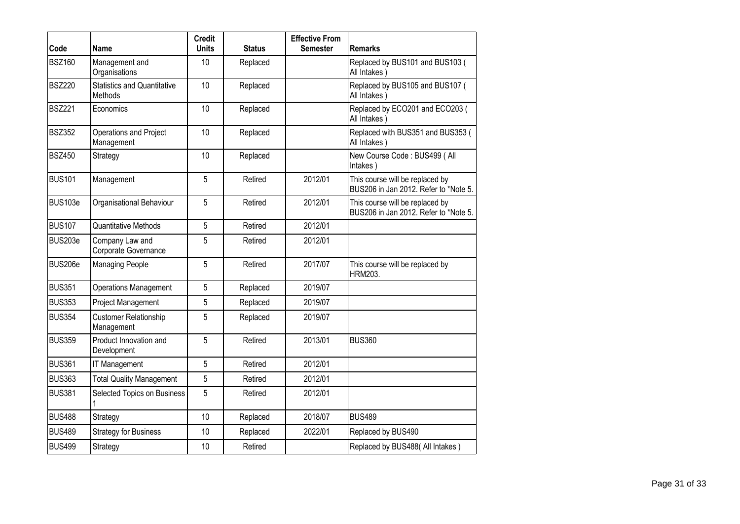| Code          | Name                                                 | <b>Credit</b><br><b>Units</b> | <b>Status</b> | <b>Effective From</b><br><b>Semester</b> | <b>Remarks</b>                                                           |
|---------------|------------------------------------------------------|-------------------------------|---------------|------------------------------------------|--------------------------------------------------------------------------|
| <b>BSZ160</b> | Management and<br>Organisations                      | 10                            | Replaced      |                                          | Replaced by BUS101 and BUS103 (<br>All Intakes)                          |
| <b>BSZ220</b> | <b>Statistics and Quantitative</b><br><b>Methods</b> | 10                            | Replaced      |                                          | Replaced by BUS105 and BUS107 (<br>All Intakes)                          |
| <b>BSZ221</b> | Economics                                            | 10                            | Replaced      |                                          | Replaced by ECO201 and ECO203 (<br>All Intakes)                          |
| <b>BSZ352</b> | Operations and Project<br>Management                 | 10                            | Replaced      |                                          | Replaced with BUS351 and BUS353 (<br>All Intakes)                        |
| <b>BSZ450</b> | Strategy                                             | 10                            | Replaced      |                                          | New Course Code: BUS499 ( All<br>Intakes)                                |
| <b>BUS101</b> | Management                                           | 5                             | Retired       | 2012/01                                  | This course will be replaced by<br>BUS206 in Jan 2012. Refer to *Note 5. |
| BUS103e       | Organisational Behaviour                             | 5                             | Retired       | 2012/01                                  | This course will be replaced by<br>BUS206 in Jan 2012. Refer to *Note 5. |
| <b>BUS107</b> | <b>Quantitative Methods</b>                          | 5                             | Retired       | 2012/01                                  |                                                                          |
| BUS203e       | Company Law and<br>Corporate Governance              | 5                             | Retired       | 2012/01                                  |                                                                          |
| BUS206e       | <b>Managing People</b>                               | 5                             | Retired       | 2017/07                                  | This course will be replaced by<br><b>HRM203.</b>                        |
| <b>BUS351</b> | <b>Operations Management</b>                         | 5                             | Replaced      | 2019/07                                  |                                                                          |
| <b>BUS353</b> | Project Management                                   | 5                             | Replaced      | 2019/07                                  |                                                                          |
| <b>BUS354</b> | <b>Customer Relationship</b><br>Management           | 5                             | Replaced      | 2019/07                                  |                                                                          |
| <b>BUS359</b> | Product Innovation and<br>Development                | 5                             | Retired       | 2013/01                                  | BUS360                                                                   |
| <b>BUS361</b> | IT Management                                        | 5                             | Retired       | 2012/01                                  |                                                                          |
| <b>BUS363</b> | <b>Total Quality Management</b>                      | 5                             | Retired       | 2012/01                                  |                                                                          |
| <b>BUS381</b> | Selected Topics on Business                          | 5                             | Retired       | 2012/01                                  |                                                                          |
| <b>BUS488</b> | Strategy                                             | 10                            | Replaced      | 2018/07                                  | <b>BUS489</b>                                                            |
| <b>BUS489</b> | <b>Strategy for Business</b>                         | 10                            | Replaced      | 2022/01                                  | Replaced by BUS490                                                       |
| <b>BUS499</b> | Strategy                                             | 10                            | Retired       |                                          | Replaced by BUS488( All Intakes)                                         |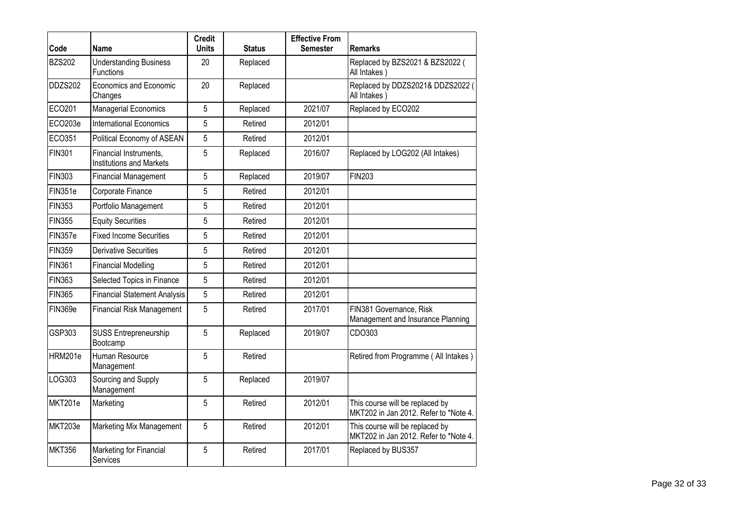| Code          | Name                                                      | <b>Credit</b><br><b>Units</b> | <b>Status</b> | <b>Effective From</b><br><b>Semester</b> | <b>Remarks</b>                                                           |
|---------------|-----------------------------------------------------------|-------------------------------|---------------|------------------------------------------|--------------------------------------------------------------------------|
| <b>BZS202</b> | <b>Understanding Business</b><br>Functions                | 20                            | Replaced      |                                          | Replaced by BZS2021 & BZS2022 (<br>All Intakes                           |
| DDZS202       | Economics and Economic<br>Changes                         | 20                            | Replaced      |                                          | Replaced by DDZS2021& DDZS2022 (<br>All Intakes)                         |
| ECO201        | <b>Managerial Economics</b>                               | 5                             | Replaced      | 2021/07                                  | Replaced by ECO202                                                       |
| ECO203e       | <b>International Economics</b>                            | 5                             | Retired       | 2012/01                                  |                                                                          |
| ECO351        | Political Economy of ASEAN                                | 5                             | Retired       | 2012/01                                  |                                                                          |
| <b>FIN301</b> | Financial Instruments,<br><b>Institutions and Markets</b> | 5                             | Replaced      | 2016/07                                  | Replaced by LOG202 (All Intakes)                                         |
| <b>FIN303</b> | <b>Financial Management</b>                               | 5                             | Replaced      | 2019/07                                  | <b>FIN203</b>                                                            |
| FIN351e       | Corporate Finance                                         | 5                             | Retired       | 2012/01                                  |                                                                          |
| <b>FIN353</b> | Portfolio Management                                      | 5                             | Retired       | 2012/01                                  |                                                                          |
| <b>FIN355</b> | <b>Equity Securities</b>                                  | 5                             | Retired       | 2012/01                                  |                                                                          |
| FIN357e       | <b>Fixed Income Securities</b>                            | 5                             | Retired       | 2012/01                                  |                                                                          |
| <b>FIN359</b> | <b>Derivative Securities</b>                              | 5                             | Retired       | 2012/01                                  |                                                                          |
| <b>FIN361</b> | <b>Financial Modelling</b>                                | 5                             | Retired       | 2012/01                                  |                                                                          |
| <b>FIN363</b> | Selected Topics in Finance                                | 5                             | Retired       | 2012/01                                  |                                                                          |
| <b>FIN365</b> | <b>Financial Statement Analysis</b>                       | 5                             | Retired       | 2012/01                                  |                                                                          |
| FIN369e       | <b>Financial Risk Management</b>                          | 5                             | Retired       | 2017/01                                  | FIN381 Governance, Risk<br>Management and Insurance Planning             |
| GSP303        | SUSS Entrepreneurship<br>Bootcamp                         | 5                             | Replaced      | 2019/07                                  | CDO303                                                                   |
| HRM201e       | Human Resource<br>Management                              | 5                             | Retired       |                                          | Retired from Programme (All Intakes)                                     |
| LOG303        | Sourcing and Supply<br>Management                         | 5                             | Replaced      | 2019/07                                  |                                                                          |
| MKT201e       | Marketing                                                 | 5                             | Retired       | 2012/01                                  | This course will be replaced by<br>MKT202 in Jan 2012. Refer to *Note 4. |
| MKT203e       | Marketing Mix Management                                  | 5                             | Retired       | 2012/01                                  | This course will be replaced by<br>MKT202 in Jan 2012. Refer to *Note 4. |
| <b>MKT356</b> | Marketing for Financial<br>Services                       | 5                             | Retired       | 2017/01                                  | Replaced by BUS357                                                       |